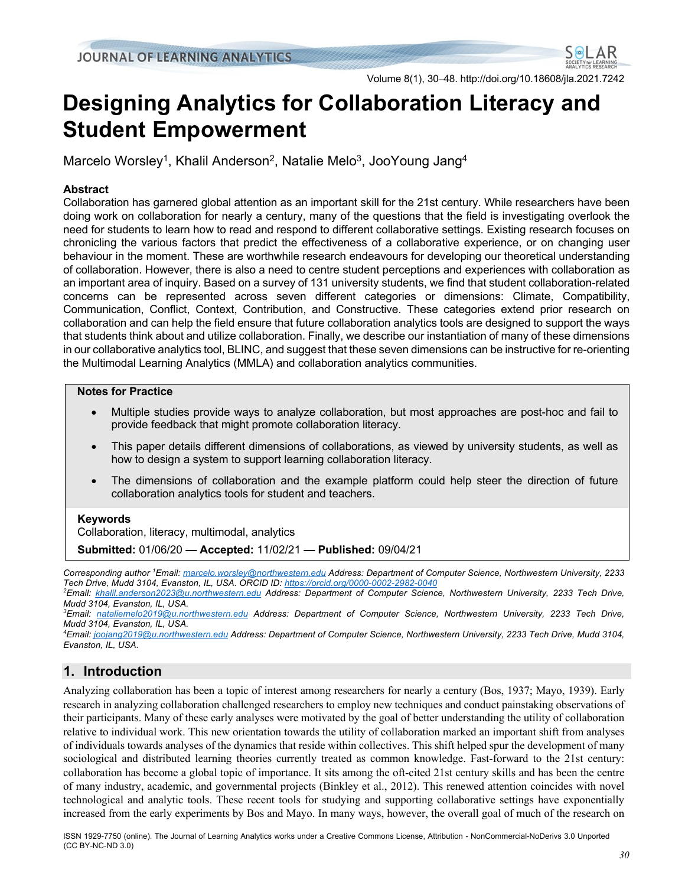Volume 8(1), 30–48. http://doi.org/10.18608/jla.2021.7242

# **Designing Analytics for Collaboration Literacy and Student Empowerment**

Marcelo Worsley<sup>1</sup>, Khalil Anderson<sup>2</sup>, Natalie Melo<sup>3</sup>, JooYoung Jang<sup>4</sup>

## **Abstract**

Collaboration has garnered global attention as an important skill for the 21st century. While researchers have been doing work on collaboration for nearly a century, many of the questions that the field is investigating overlook the need for students to learn how to read and respond to different collaborative settings. Existing research focuses on chronicling the various factors that predict the effectiveness of a collaborative experience, or on changing user behaviour in the moment. These are worthwhile research endeavours for developing our theoretical understanding of collaboration. However, there is also a need to centre student perceptions and experiences with collaboration as an important area of inquiry. Based on a survey of 131 university students, we find that student collaboration-related concerns can be represented across seven different categories or dimensions: Climate, Compatibility, Communication, Conflict, Context, Contribution, and Constructive. These categories extend prior research on collaboration and can help the field ensure that future collaboration analytics tools are designed to support the ways that students think about and utilize collaboration. Finally, we describe our instantiation of many of these dimensions in our collaborative analytics tool, BLINC, and suggest that these seven dimensions can be instructive for re-orienting the Multimodal Learning Analytics (MMLA) and collaboration analytics communities.

## **Notes for Practice**

- Multiple studies provide ways to analyze collaboration, but most approaches are post-hoc and fail to provide feedback that might promote collaboration literacy.
- This paper details different dimensions of collaborations, as viewed by university students, as well as how to design a system to support learning collaboration literacy.
- The dimensions of collaboration and the example platform could help steer the direction of future collaboration analytics tools for student and teachers.

## **Keywords**

Collaboration, literacy, multimodal, analytics

**Submitted:** 01/06/20 **— Accepted:** 11/02/21 **— Published:** 09/04/21

*Corresponding author 1 Email: marcelo.worsley@northwestern.edu Address: Department of Computer Science, Northwestern University, 2233 Tech Drive, Mudd 3104, Evanston, IL, USA. ORCID ID: https://orcid.org/0000-0002-2982-0040*

*2 Email: khalil.anderson2023@u.northwestern.edu Address: Department of Computer Science, Northwestern University, 2233 Tech Drive, Mudd 3104, Evanston, IL, USA.*

*3 Email: nataliemelo2019@u.northwestern.edu Address: Department of Computer Science, Northwestern University, 2233 Tech Drive, Mudd 3104, Evanston, IL, USA.*

*4 Email: joojang2019@u.northwestern.edu Address: Department of Computer Science, Northwestern University, 2233 Tech Drive, Mudd 3104, Evanston, IL, USA.*

# **1. Introduction**

Analyzing collaboration has been a topic of interest among researchers for nearly a century (Bos, 1937; Mayo, 1939). Early research in analyzing collaboration challenged researchers to employ new techniques and conduct painstaking observations of their participants. Many of these early analyses were motivated by the goal of better understanding the utility of collaboration relative to individual work. This new orientation towards the utility of collaboration marked an important shift from analyses of individuals towards analyses of the dynamics that reside within collectives. This shift helped spur the development of many sociological and distributed learning theories currently treated as common knowledge. Fast-forward to the 21st century: collaboration has become a global topic of importance. It sits among the oft-cited 21st century skills and has been the centre of many industry, academic, and governmental projects (Binkley et al., 2012). This renewed attention coincides with novel technological and analytic tools. These recent tools for studying and supporting collaborative settings have exponentially increased from the early experiments by Bos and Mayo. In many ways, however, the overall goal of much of the research on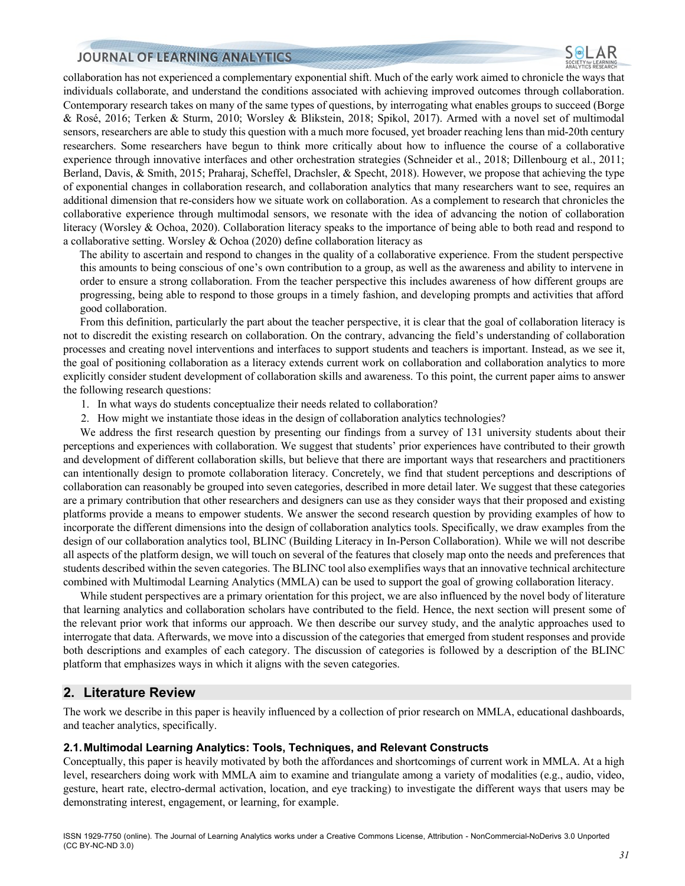collaboration has not experienced a complementary exponential shift. Much of the early work aimed to chronicle the ways that individuals collaborate, and understand the conditions associated with achieving improved outcomes through collaboration. Contemporary research takes on many of the same types of questions, by interrogating what enables groups to succeed (Borge & Rosé, 2016; Terken & Sturm, 2010; Worsley & Blikstein, 2018; Spikol, 2017). Armed with a novel set of multimodal sensors, researchers are able to study this question with a much more focused, yet broader reaching lens than mid-20th century researchers. Some researchers have begun to think more critically about how to influence the course of a collaborative experience through innovative interfaces and other orchestration strategies (Schneider et al., 2018; Dillenbourg et al., 2011; Berland, Davis, & Smith, 2015; Praharaj, Scheffel, Drachsler, & Specht, 2018). However, we propose that achieving the type of exponential changes in collaboration research, and collaboration analytics that many researchers want to see, requires an additional dimension that re-considers how we situate work on collaboration. As a complement to research that chronicles the collaborative experience through multimodal sensors, we resonate with the idea of advancing the notion of collaboration literacy (Worsley & Ochoa, 2020). Collaboration literacy speaks to the importance of being able to both read and respond to a collaborative setting. Worsley & Ochoa (2020) define collaboration literacy as

The ability to ascertain and respond to changes in the quality of a collaborative experience. From the student perspective this amounts to being conscious of one's own contribution to a group, as well as the awareness and ability to intervene in order to ensure a strong collaboration. From the teacher perspective this includes awareness of how different groups are progressing, being able to respond to those groups in a timely fashion, and developing prompts and activities that afford good collaboration.

From this definition, particularly the part about the teacher perspective, it is clear that the goal of collaboration literacy is not to discredit the existing research on collaboration. On the contrary, advancing the field's understanding of collaboration processes and creating novel interventions and interfaces to support students and teachers is important. Instead, as we see it, the goal of positioning collaboration as a literacy extends current work on collaboration and collaboration analytics to more explicitly consider student development of collaboration skills and awareness. To this point, the current paper aims to answer the following research questions:

- 1. In what ways do students conceptualize their needs related to collaboration?
- 2. How might we instantiate those ideas in the design of collaboration analytics technologies?

We address the first research question by presenting our findings from a survey of 131 university students about their perceptions and experiences with collaboration. We suggest that students' prior experiences have contributed to their growth and development of different collaboration skills, but believe that there are important ways that researchers and practitioners can intentionally design to promote collaboration literacy. Concretely, we find that student perceptions and descriptions of collaboration can reasonably be grouped into seven categories, described in more detail later. We suggest that these categories are a primary contribution that other researchers and designers can use as they consider ways that their proposed and existing platforms provide a means to empower students. We answer the second research question by providing examples of how to incorporate the different dimensions into the design of collaboration analytics tools. Specifically, we draw examples from the design of our collaboration analytics tool, BLINC (Building Literacy in In-Person Collaboration). While we will not describe all aspects of the platform design, we will touch on several of the features that closely map onto the needs and preferences that students described within the seven categories. The BLINC tool also exemplifies ways that an innovative technical architecture combined with Multimodal Learning Analytics (MMLA) can be used to support the goal of growing collaboration literacy.

While student perspectives are a primary orientation for this project, we are also influenced by the novel body of literature that learning analytics and collaboration scholars have contributed to the field. Hence, the next section will present some of the relevant prior work that informs our approach. We then describe our survey study, and the analytic approaches used to interrogate that data. Afterwards, we move into a discussion of the categories that emerged from student responses and provide both descriptions and examples of each category. The discussion of categories is followed by a description of the BLINC platform that emphasizes ways in which it aligns with the seven categories.

## **2. Literature Review**

The work we describe in this paper is heavily influenced by a collection of prior research on MMLA, educational dashboards, and teacher analytics, specifically.

#### **2.1.Multimodal Learning Analytics: Tools, Techniques, and Relevant Constructs**

Conceptually, this paper is heavily motivated by both the affordances and shortcomings of current work in MMLA. At a high level, researchers doing work with MMLA aim to examine and triangulate among a variety of modalities (e.g., audio, video, gesture, heart rate, electro-dermal activation, location, and eye tracking) to investigate the different ways that users may be demonstrating interest, engagement, or learning, for example.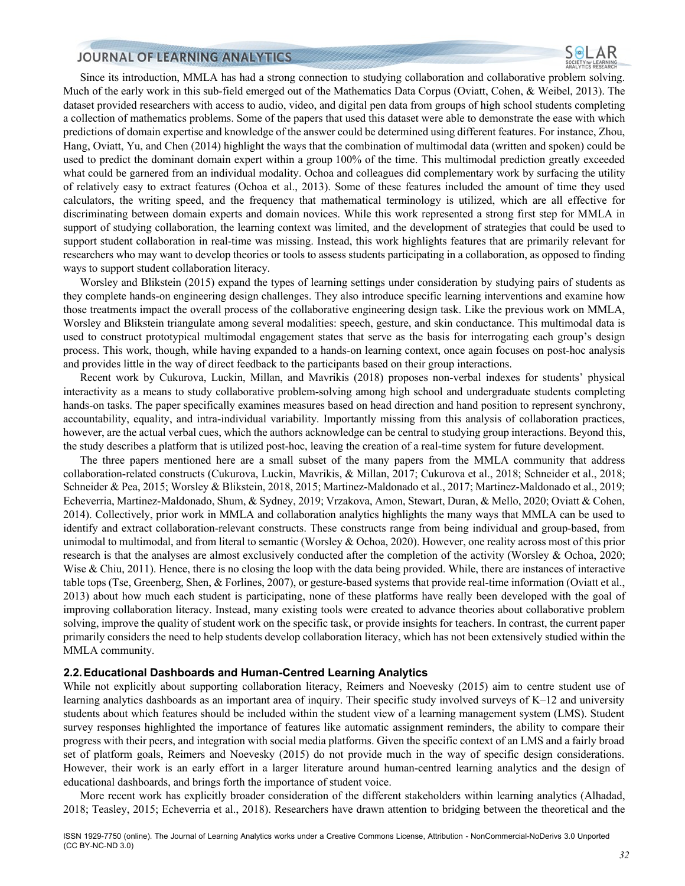Since its introduction, MMLA has had a strong connection to studying collaboration and collaborative problem solving. Much of the early work in this sub-field emerged out of the Mathematics Data Corpus (Oviatt, Cohen, & Weibel, 2013). The dataset provided researchers with access to audio, video, and digital pen data from groups of high school students completing a collection of mathematics problems. Some of the papers that used this dataset were able to demonstrate the ease with which predictions of domain expertise and knowledge of the answer could be determined using different features. For instance, Zhou, Hang, Oviatt, Yu, and Chen (2014) highlight the ways that the combination of multimodal data (written and spoken) could be used to predict the dominant domain expert within a group 100% of the time. This multimodal prediction greatly exceeded what could be garnered from an individual modality. Ochoa and colleagues did complementary work by surfacing the utility of relatively easy to extract features (Ochoa et al., 2013). Some of these features included the amount of time they used calculators, the writing speed, and the frequency that mathematical terminology is utilized, which are all effective for discriminating between domain experts and domain novices. While this work represented a strong first step for MMLA in support of studying collaboration, the learning context was limited, and the development of strategies that could be used to support student collaboration in real-time was missing. Instead, this work highlights features that are primarily relevant for researchers who may want to develop theories or tools to assess students participating in a collaboration, as opposed to finding ways to support student collaboration literacy.

Worsley and Blikstein (2015) expand the types of learning settings under consideration by studying pairs of students as they complete hands-on engineering design challenges. They also introduce specific learning interventions and examine how those treatments impact the overall process of the collaborative engineering design task. Like the previous work on MMLA, Worsley and Blikstein triangulate among several modalities: speech, gesture, and skin conductance. This multimodal data is used to construct prototypical multimodal engagement states that serve as the basis for interrogating each group's design process. This work, though, while having expanded to a hands-on learning context, once again focuses on post-hoc analysis and provides little in the way of direct feedback to the participants based on their group interactions.

Recent work by Cukurova, Luckin, Millan, and Mavrikis (2018) proposes non-verbal indexes for students' physical interactivity as a means to study collaborative problem-solving among high school and undergraduate students completing hands-on tasks. The paper specifically examines measures based on head direction and hand position to represent synchrony, accountability, equality, and intra-individual variability. Importantly missing from this analysis of collaboration practices, however, are the actual verbal cues, which the authors acknowledge can be central to studying group interactions. Beyond this, the study describes a platform that is utilized post-hoc, leaving the creation of a real-time system for future development.

The three papers mentioned here are a small subset of the many papers from the MMLA community that address collaboration-related constructs (Cukurova, Luckin, Mavrikis, & Millan, 2017; Cukurova et al., 2018; Schneider et al., 2018; Schneider & Pea, 2015; Worsley & Blikstein, 2018, 2015; Martinez-Maldonado et al., 2017; Martinez-Maldonado et al., 2019; Echeverria, Martinez-Maldonado, Shum, & Sydney, 2019; Vrzakova, Amon, Stewart, Duran, & Mello, 2020; Oviatt & Cohen, 2014). Collectively, prior work in MMLA and collaboration analytics highlights the many ways that MMLA can be used to identify and extract collaboration-relevant constructs. These constructs range from being individual and group-based, from unimodal to multimodal, and from literal to semantic (Worsley & Ochoa, 2020). However, one reality across most of this prior research is that the analyses are almost exclusively conducted after the completion of the activity (Worsley & Ochoa, 2020; Wise & Chiu, 2011). Hence, there is no closing the loop with the data being provided. While, there are instances of interactive table tops (Tse, Greenberg, Shen, & Forlines, 2007), or gesture-based systems that provide real-time information (Oviatt et al., 2013) about how much each student is participating, none of these platforms have really been developed with the goal of improving collaboration literacy. Instead, many existing tools were created to advance theories about collaborative problem solving, improve the quality of student work on the specific task, or provide insights for teachers. In contrast, the current paper primarily considers the need to help students develop collaboration literacy, which has not been extensively studied within the MMLA community.

#### **2.2.Educational Dashboards and Human-Centred Learning Analytics**

While not explicitly about supporting collaboration literacy, Reimers and Noevesky (2015) aim to centre student use of learning analytics dashboards as an important area of inquiry. Their specific study involved surveys of K–12 and university students about which features should be included within the student view of a learning management system (LMS). Student survey responses highlighted the importance of features like automatic assignment reminders, the ability to compare their progress with their peers, and integration with social media platforms. Given the specific context of an LMS and a fairly broad set of platform goals, Reimers and Noevesky (2015) do not provide much in the way of specific design considerations. However, their work is an early effort in a larger literature around human-centred learning analytics and the design of educational dashboards, and brings forth the importance of student voice.

More recent work has explicitly broader consideration of the different stakeholders within learning analytics (Alhadad, 2018; Teasley, 2015; Echeverria et al., 2018). Researchers have drawn attention to bridging between the theoretical and the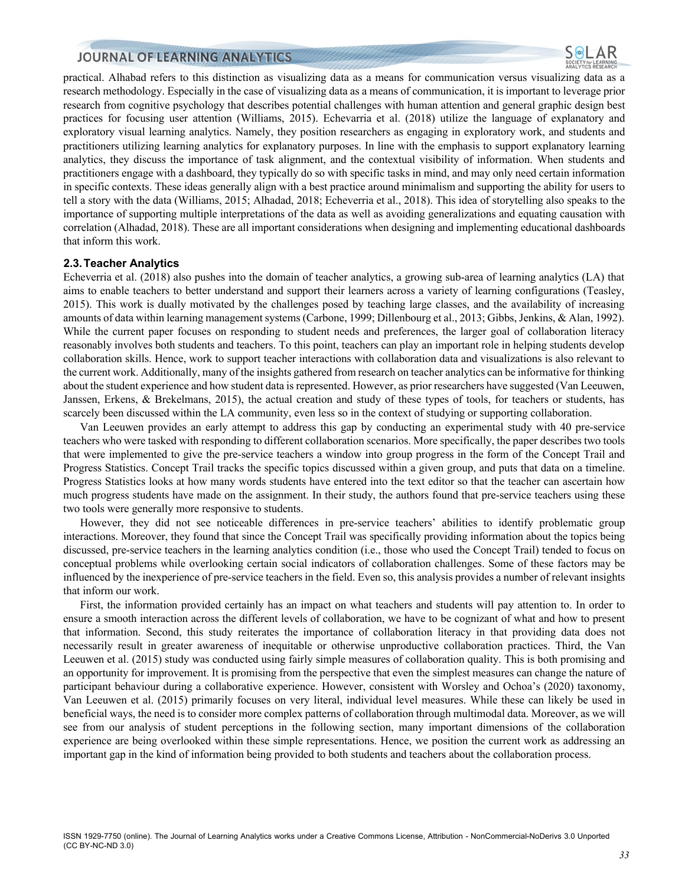practical. Alhabad refers to this distinction as visualizing data as a means for communication versus visualizing data as a research methodology. Especially in the case of visualizing data as a means of communication, it is important to leverage prior research from cognitive psychology that describes potential challenges with human attention and general graphic design best practices for focusing user attention (Williams, 2015). Echevarria et al. (2018) utilize the language of explanatory and exploratory visual learning analytics. Namely, they position researchers as engaging in exploratory work, and students and practitioners utilizing learning analytics for explanatory purposes. In line with the emphasis to support explanatory learning analytics, they discuss the importance of task alignment, and the contextual visibility of information. When students and practitioners engage with a dashboard, they typically do so with specific tasks in mind, and may only need certain information in specific contexts. These ideas generally align with a best practice around minimalism and supporting the ability for users to tell a story with the data (Williams, 2015; Alhadad, 2018; Echeverria et al., 2018). This idea of storytelling also speaks to the importance of supporting multiple interpretations of the data as well as avoiding generalizations and equating causation with correlation (Alhadad, 2018). These are all important considerations when designing and implementing educational dashboards that inform this work.

#### **2.3.Teacher Analytics**

Echeverria et al. (2018) also pushes into the domain of teacher analytics, a growing sub-area of learning analytics (LA) that aims to enable teachers to better understand and support their learners across a variety of learning configurations (Teasley, 2015). This work is dually motivated by the challenges posed by teaching large classes, and the availability of increasing amounts of data within learning management systems (Carbone, 1999; Dillenbourg et al., 2013; Gibbs, Jenkins, & Alan, 1992). While the current paper focuses on responding to student needs and preferences, the larger goal of collaboration literacy reasonably involves both students and teachers. To this point, teachers can play an important role in helping students develop collaboration skills. Hence, work to support teacher interactions with collaboration data and visualizations is also relevant to the current work. Additionally, many of the insights gathered from research on teacher analytics can be informative for thinking about the student experience and how student data is represented. However, as prior researchers have suggested (Van Leeuwen, Janssen, Erkens, & Brekelmans, 2015), the actual creation and study of these types of tools, for teachers or students, has scarcely been discussed within the LA community, even less so in the context of studying or supporting collaboration.

Van Leeuwen provides an early attempt to address this gap by conducting an experimental study with 40 pre-service teachers who were tasked with responding to different collaboration scenarios. More specifically, the paper describes two tools that were implemented to give the pre-service teachers a window into group progress in the form of the Concept Trail and Progress Statistics. Concept Trail tracks the specific topics discussed within a given group, and puts that data on a timeline. Progress Statistics looks at how many words students have entered into the text editor so that the teacher can ascertain how much progress students have made on the assignment. In their study, the authors found that pre-service teachers using these two tools were generally more responsive to students.

However, they did not see noticeable differences in pre-service teachers' abilities to identify problematic group interactions. Moreover, they found that since the Concept Trail was specifically providing information about the topics being discussed, pre-service teachers in the learning analytics condition (i.e., those who used the Concept Trail) tended to focus on conceptual problems while overlooking certain social indicators of collaboration challenges. Some of these factors may be influenced by the inexperience of pre-service teachers in the field. Even so, this analysis provides a number of relevant insights that inform our work.

First, the information provided certainly has an impact on what teachers and students will pay attention to. In order to ensure a smooth interaction across the different levels of collaboration, we have to be cognizant of what and how to present that information. Second, this study reiterates the importance of collaboration literacy in that providing data does not necessarily result in greater awareness of inequitable or otherwise unproductive collaboration practices. Third, the Van Leeuwen et al. (2015) study was conducted using fairly simple measures of collaboration quality. This is both promising and an opportunity for improvement. It is promising from the perspective that even the simplest measures can change the nature of participant behaviour during a collaborative experience. However, consistent with Worsley and Ochoa's (2020) taxonomy, Van Leeuwen et al. (2015) primarily focuses on very literal, individual level measures. While these can likely be used in beneficial ways, the need is to consider more complex patterns of collaboration through multimodal data. Moreover, as we will see from our analysis of student perceptions in the following section, many important dimensions of the collaboration experience are being overlooked within these simple representations. Hence, we position the current work as addressing an important gap in the kind of information being provided to both students and teachers about the collaboration process.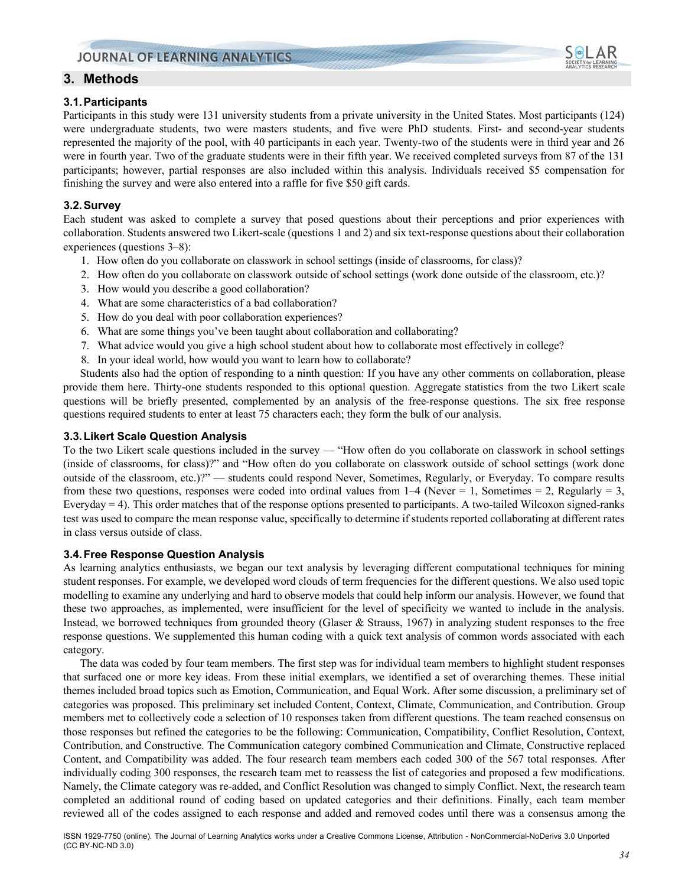# **3. Methods**

## **3.1.Participants**

Participants in this study were 131 university students from a private university in the United States. Most participants (124) were undergraduate students, two were masters students, and five were PhD students. First- and second-year students represented the majority of the pool, with 40 participants in each year. Twenty-two of the students were in third year and 26 were in fourth year. Two of the graduate students were in their fifth year. We received completed surveys from 87 of the 131 participants; however, partial responses are also included within this analysis. Individuals received \$5 compensation for finishing the survey and were also entered into a raffle for five \$50 gift cards.

## **3.2.Survey**

Each student was asked to complete a survey that posed questions about their perceptions and prior experiences with collaboration. Students answered two Likert-scale (questions 1 and 2) and six text-response questions about their collaboration experiences (questions 3–8):

- 1. How often do you collaborate on classwork in school settings (inside of classrooms, for class)?
- 2. How often do you collaborate on classwork outside of school settings (work done outside of the classroom, etc.)?
- 3. How would you describe a good collaboration?
- 4. What are some characteristics of a bad collaboration?
- 5. How do you deal with poor collaboration experiences?
- 6. What are some things you've been taught about collaboration and collaborating?
- 7. What advice would you give a high school student about how to collaborate most effectively in college?
- 8. In your ideal world, how would you want to learn how to collaborate?

Students also had the option of responding to a ninth question: If you have any other comments on collaboration, please provide them here. Thirty-one students responded to this optional question. Aggregate statistics from the two Likert scale questions will be briefly presented, complemented by an analysis of the free-response questions. The six free response questions required students to enter at least 75 characters each; they form the bulk of our analysis.

## **3.3.Likert Scale Question Analysis**

To the two Likert scale questions included in the survey — "How often do you collaborate on classwork in school settings (inside of classrooms, for class)?" and "How often do you collaborate on classwork outside of school settings (work done outside of the classroom, etc.)?" — students could respond Never, Sometimes, Regularly, or Everyday. To compare results from these two questions, responses were coded into ordinal values from  $1-4$  (Never = 1, Sometimes = 2, Regularly = 3, Everyday  $=$  4). This order matches that of the response options presented to participants. A two-tailed Wilcoxon signed-ranks test was used to compare the mean response value, specifically to determine if students reported collaborating at different rates in class versus outside of class.

#### **3.4.Free Response Question Analysis**

As learning analytics enthusiasts, we began our text analysis by leveraging different computational techniques for mining student responses. For example, we developed word clouds of term frequencies for the different questions. We also used topic modelling to examine any underlying and hard to observe models that could help inform our analysis. However, we found that these two approaches, as implemented, were insufficient for the level of specificity we wanted to include in the analysis. Instead, we borrowed techniques from grounded theory (Glaser & Strauss, 1967) in analyzing student responses to the free response questions. We supplemented this human coding with a quick text analysis of common words associated with each category.

The data was coded by four team members. The first step was for individual team members to highlight student responses that surfaced one or more key ideas. From these initial exemplars, we identified a set of overarching themes. These initial themes included broad topics such as Emotion, Communication, and Equal Work. After some discussion, a preliminary set of categories was proposed. This preliminary set included Content, Context, Climate, Communication, and Contribution. Group members met to collectively code a selection of 10 responses taken from different questions. The team reached consensus on those responses but refined the categories to be the following: Communication, Compatibility, Conflict Resolution, Context, Contribution, and Constructive. The Communication category combined Communication and Climate, Constructive replaced Content, and Compatibility was added. The four research team members each coded 300 of the 567 total responses. After individually coding 300 responses, the research team met to reassess the list of categories and proposed a few modifications. Namely, the Climate category was re-added, and Conflict Resolution was changed to simply Conflict. Next, the research team completed an additional round of coding based on updated categories and their definitions. Finally, each team member reviewed all of the codes assigned to each response and added and removed codes until there was a consensus among the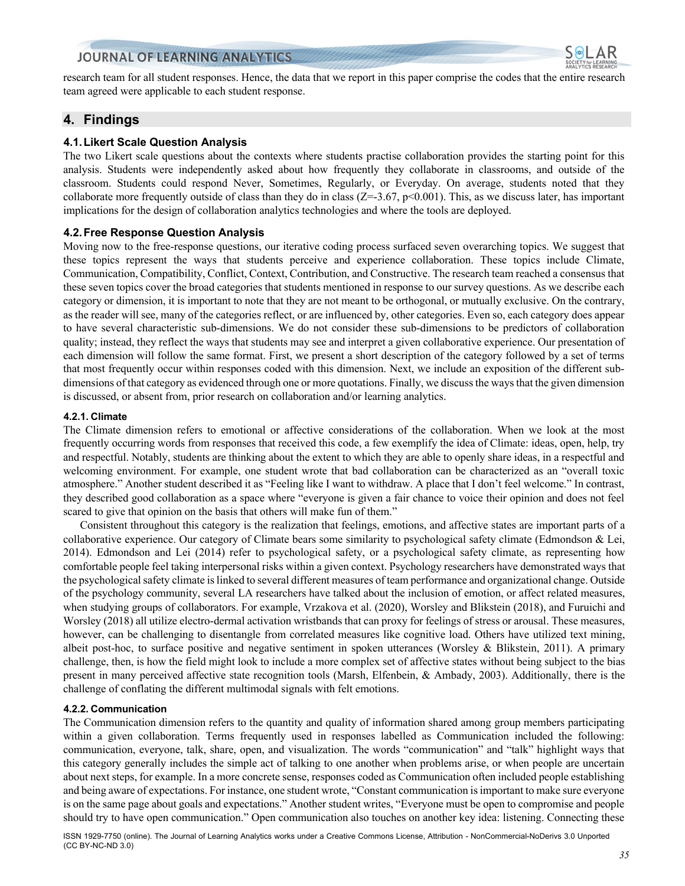

research team for all student responses. Hence, the data that we report in this paper comprise the codes that the entire research team agreed were applicable to each student response.

## **4. Findings**

### **4.1.Likert Scale Question Analysis**

The two Likert scale questions about the contexts where students practise collaboration provides the starting point for this analysis. Students were independently asked about how frequently they collaborate in classrooms, and outside of the classroom. Students could respond Never, Sometimes, Regularly, or Everyday. On average, students noted that they collaborate more frequently outside of class than they do in class ( $Z=-3.67$ ,  $p<0.001$ ). This, as we discuss later, has important implications for the design of collaboration analytics technologies and where the tools are deployed.

#### **4.2.Free Response Question Analysis**

Moving now to the free-response questions, our iterative coding process surfaced seven overarching topics. We suggest that these topics represent the ways that students perceive and experience collaboration. These topics include Climate, Communication, Compatibility, Conflict, Context, Contribution, and Constructive. The research team reached a consensus that these seven topics cover the broad categories that students mentioned in response to our survey questions. As we describe each category or dimension, it is important to note that they are not meant to be orthogonal, or mutually exclusive. On the contrary, as the reader will see, many of the categories reflect, or are influenced by, other categories. Even so, each category does appear to have several characteristic sub-dimensions. We do not consider these sub-dimensions to be predictors of collaboration quality; instead, they reflect the ways that students may see and interpret a given collaborative experience. Our presentation of each dimension will follow the same format. First, we present a short description of the category followed by a set of terms that most frequently occur within responses coded with this dimension. Next, we include an exposition of the different subdimensions of that category as evidenced through one or more quotations. Finally, we discuss the ways that the given dimension is discussed, or absent from, prior research on collaboration and/or learning analytics.

#### **4.2.1. Climate**

The Climate dimension refers to emotional or affective considerations of the collaboration. When we look at the most frequently occurring words from responses that received this code, a few exemplify the idea of Climate: ideas, open, help, try and respectful. Notably, students are thinking about the extent to which they are able to openly share ideas, in a respectful and welcoming environment. For example, one student wrote that bad collaboration can be characterized as an "overall toxic atmosphere." Another student described it as "Feeling like I want to withdraw. A place that I don't feel welcome." In contrast, they described good collaboration as a space where "everyone is given a fair chance to voice their opinion and does not feel scared to give that opinion on the basis that others will make fun of them."

Consistent throughout this category is the realization that feelings, emotions, and affective states are important parts of a collaborative experience. Our category of Climate bears some similarity to psychological safety climate (Edmondson & Lei, 2014). Edmondson and Lei (2014) refer to psychological safety, or a psychological safety climate, as representing how comfortable people feel taking interpersonal risks within a given context. Psychology researchers have demonstrated ways that the psychological safety climate is linked to several different measures of team performance and organizational change. Outside of the psychology community, several LA researchers have talked about the inclusion of emotion, or affect related measures, when studying groups of collaborators. For example, Vrzakova et al. (2020), Worsley and Blikstein (2018), and Furuichi and Worsley (2018) all utilize electro-dermal activation wristbands that can proxy for feelings of stress or arousal. These measures, however, can be challenging to disentangle from correlated measures like cognitive load. Others have utilized text mining, albeit post-hoc, to surface positive and negative sentiment in spoken utterances (Worsley & Blikstein, 2011). A primary challenge, then, is how the field might look to include a more complex set of affective states without being subject to the bias present in many perceived affective state recognition tools (Marsh, Elfenbein, & Ambady, 2003). Additionally, there is the challenge of conflating the different multimodal signals with felt emotions.

#### **4.2.2. Communication**

The Communication dimension refers to the quantity and quality of information shared among group members participating within a given collaboration. Terms frequently used in responses labelled as Communication included the following: communication, everyone, talk, share, open, and visualization. The words "communication" and "talk" highlight ways that this category generally includes the simple act of talking to one another when problems arise, or when people are uncertain about next steps, for example. In a more concrete sense, responses coded as Communication often included people establishing and being aware of expectations. For instance, one student wrote, "Constant communication is important to make sure everyone is on the same page about goals and expectations." Another student writes, "Everyone must be open to compromise and people should try to have open communication." Open communication also touches on another key idea: listening. Connecting these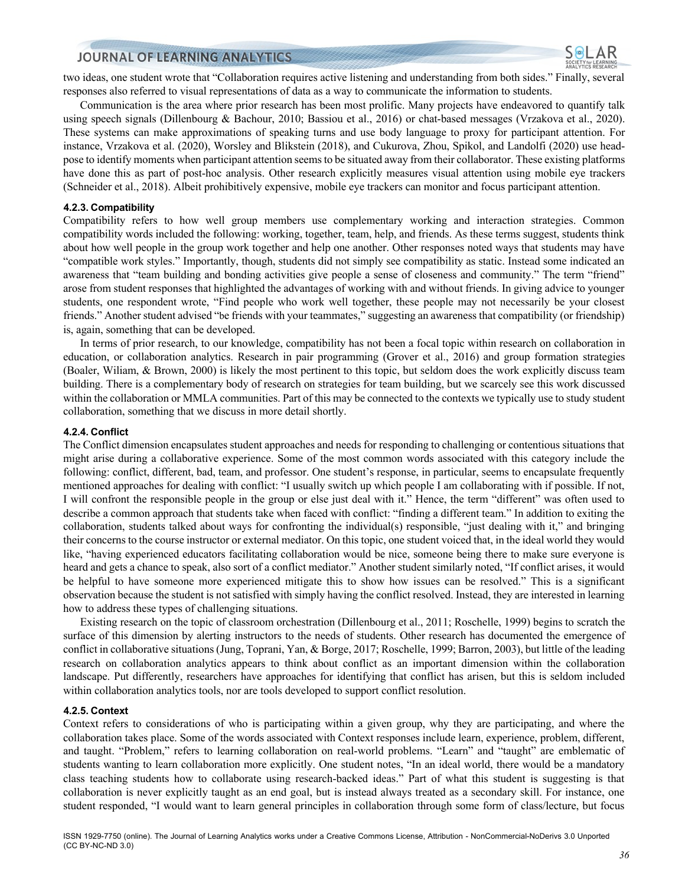two ideas, one student wrote that "Collaboration requires active listening and understanding from both sides." Finally, several responses also referred to visual representations of data as a way to communicate the information to students.

Communication is the area where prior research has been most prolific. Many projects have endeavored to quantify talk using speech signals (Dillenbourg & Bachour, 2010; Bassiou et al., 2016) or chat-based messages (Vrzakova et al., 2020). These systems can make approximations of speaking turns and use body language to proxy for participant attention. For instance, Vrzakova et al. (2020), Worsley and Blikstein (2018), and Cukurova, Zhou, Spikol, and Landolfi (2020) use headpose to identify moments when participant attention seems to be situated away from their collaborator. These existing platforms have done this as part of post-hoc analysis. Other research explicitly measures visual attention using mobile eye trackers (Schneider et al., 2018). Albeit prohibitively expensive, mobile eye trackers can monitor and focus participant attention.

#### **4.2.3. Compatibility**

Compatibility refers to how well group members use complementary working and interaction strategies. Common compatibility words included the following: working, together, team, help, and friends. As these terms suggest, students think about how well people in the group work together and help one another. Other responses noted ways that students may have "compatible work styles." Importantly, though, students did not simply see compatibility as static. Instead some indicated an awareness that "team building and bonding activities give people a sense of closeness and community." The term "friend" arose from student responses that highlighted the advantages of working with and without friends. In giving advice to younger students, one respondent wrote, "Find people who work well together, these people may not necessarily be your closest friends." Another student advised "be friends with your teammates," suggesting an awareness that compatibility (or friendship) is, again, something that can be developed.

In terms of prior research, to our knowledge, compatibility has not been a focal topic within research on collaboration in education, or collaboration analytics. Research in pair programming (Grover et al., 2016) and group formation strategies (Boaler, Wiliam, & Brown, 2000) is likely the most pertinent to this topic, but seldom does the work explicitly discuss team building. There is a complementary body of research on strategies for team building, but we scarcely see this work discussed within the collaboration or MMLA communities. Part of this may be connected to the contexts we typically use to study student collaboration, something that we discuss in more detail shortly.

#### **4.2.4. Conflict**

The Conflict dimension encapsulates student approaches and needs for responding to challenging or contentious situations that might arise during a collaborative experience. Some of the most common words associated with this category include the following: conflict, different, bad, team, and professor. One student's response, in particular, seems to encapsulate frequently mentioned approaches for dealing with conflict: "I usually switch up which people I am collaborating with if possible. If not, I will confront the responsible people in the group or else just deal with it." Hence, the term "different" was often used to describe a common approach that students take when faced with conflict: "finding a different team." In addition to exiting the collaboration, students talked about ways for confronting the individual(s) responsible, "just dealing with it," and bringing their concerns to the course instructor or external mediator. On this topic, one student voiced that, in the ideal world they would like, "having experienced educators facilitating collaboration would be nice, someone being there to make sure everyone is heard and gets a chance to speak, also sort of a conflict mediator." Another student similarly noted, "If conflict arises, it would be helpful to have someone more experienced mitigate this to show how issues can be resolved." This is a significant observation because the student is not satisfied with simply having the conflict resolved. Instead, they are interested in learning how to address these types of challenging situations.

Existing research on the topic of classroom orchestration (Dillenbourg et al., 2011; Roschelle, 1999) begins to scratch the surface of this dimension by alerting instructors to the needs of students. Other research has documented the emergence of conflict in collaborative situations (Jung, Toprani, Yan, & Borge, 2017; Roschelle, 1999; Barron, 2003), but little of the leading research on collaboration analytics appears to think about conflict as an important dimension within the collaboration landscape. Put differently, researchers have approaches for identifying that conflict has arisen, but this is seldom included within collaboration analytics tools, nor are tools developed to support conflict resolution.

#### **4.2.5. Context**

Context refers to considerations of who is participating within a given group, why they are participating, and where the collaboration takes place. Some of the words associated with Context responses include learn, experience, problem, different, and taught. "Problem," refers to learning collaboration on real-world problems. "Learn" and "taught" are emblematic of students wanting to learn collaboration more explicitly. One student notes, "In an ideal world, there would be a mandatory class teaching students how to collaborate using research-backed ideas." Part of what this student is suggesting is that collaboration is never explicitly taught as an end goal, but is instead always treated as a secondary skill. For instance, one student responded, "I would want to learn general principles in collaboration through some form of class/lecture, but focus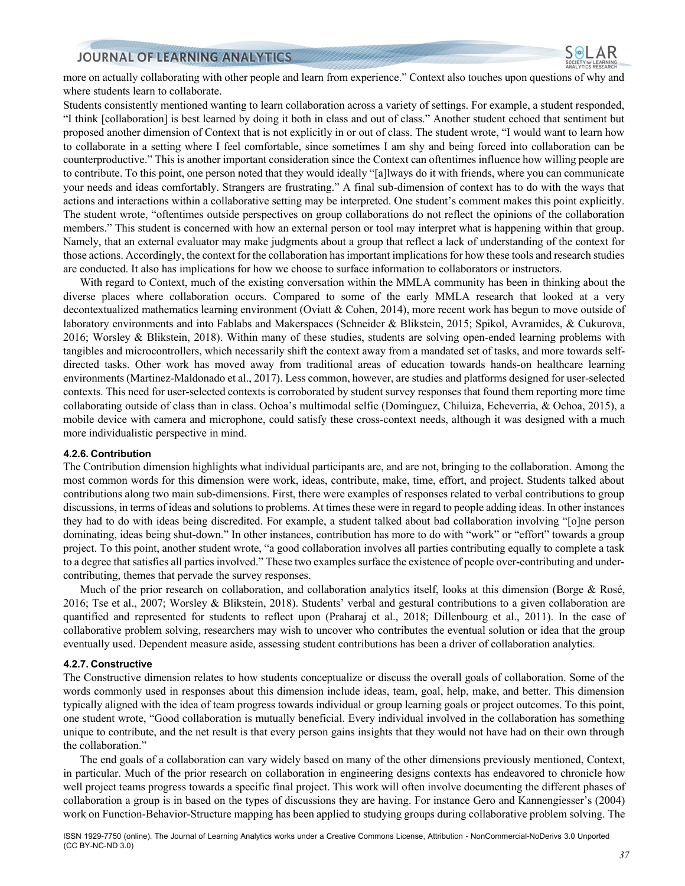more on actually collaborating with other people and learn from experience." Context also touches upon questions of why and where students learn to collaborate.

Students consistently mentioned wanting to learn collaboration across a variety of settings. For example, a student responded, "I think [collaboration] is best learned by doing it both in class and out of class." Another student echoed that sentiment but proposed another dimension of Context that is not explicitly in or out of class. The student wrote, "I would want to learn how to collaborate in a setting where I feel comfortable, since sometimes I am shy and being forced into collaboration can be counterproductive." This is another important consideration since the Context can oftentimes influence how willing people are to contribute. To this point, one person noted that they would ideally "[a]lways do it with friends, where you can communicate your needs and ideas comfortably. Strangers are frustrating." A final sub-dimension of context has to do with the ways that actions and interactions within a collaborative setting may be interpreted. One student's comment makes this point explicitly. The student wrote, "oftentimes outside perspectives on group collaborations do not reflect the opinions of the collaboration members." This student is concerned with how an external person or tool may interpret what is happening within that group. Namely, that an external evaluator may make judgments about a group that reflect a lack of understanding of the context for those actions. Accordingly, the context for the collaboration has important implications for how these tools and research studies are conducted. It also has implications for how we choose to surface information to collaborators or instructors.

With regard to Context, much of the existing conversation within the MMLA community has been in thinking about the diverse places where collaboration occurs. Compared to some of the early MMLA research that looked at a very decontextualized mathematics learning environment (Oviatt & Cohen, 2014), more recent work has begun to move outside of laboratory environments and into Fablabs and Makerspaces (Schneider & Blikstein, 2015; Spikol, Avramides, & Cukurova, 2016; Worsley & Blikstein, 2018). Within many of these studies, students are solving open-ended learning problems with tangibles and microcontrollers, which necessarily shift the context away from a mandated set of tasks, and more towards selfdirected tasks. Other work has moved away from traditional areas of education towards hands-on healthcare learning environments (Martinez-Maldonado et al., 2017). Less common, however, are studies and platforms designed for user-selected contexts. This need for user-selected contexts is corroborated by student survey responses that found them reporting more time collaborating outside of class than in class. Ochoa's multimodal selfie (Domínguez, Chiluiza, Echeverria, & Ochoa, 2015), a mobile device with camera and microphone, could satisfy these cross-context needs, although it was designed with a much more individualistic perspective in mind.

#### **4.2.6. Contribution**

The Contribution dimension highlights what individual participants are, and are not, bringing to the collaboration. Among the most common words for this dimension were work, ideas, contribute, make, time, effort, and project. Students talked about contributions along two main sub-dimensions. First, there were examples of responses related to verbal contributions to group discussions, in terms of ideas and solutions to problems. At times these were in regard to people adding ideas. In other instances they had to do with ideas being discredited. For example, a student talked about bad collaboration involving "[o]ne person dominating, ideas being shut-down." In other instances, contribution has more to do with "work" or "effort" towards a group project. To this point, another student wrote, "a good collaboration involves all parties contributing equally to complete a task to a degree that satisfies all parties involved." These two examples surface the existence of people over-contributing and undercontributing, themes that pervade the survey responses.

Much of the prior research on collaboration, and collaboration analytics itself, looks at this dimension (Borge & Rosé, 2016; Tse et al., 2007; Worsley & Blikstein, 2018). Students' verbal and gestural contributions to a given collaboration are quantified and represented for students to reflect upon (Praharaj et al., 2018; Dillenbourg et al., 2011). In the case of collaborative problem solving, researchers may wish to uncover who contributes the eventual solution or idea that the group eventually used. Dependent measure aside, assessing student contributions has been a driver of collaboration analytics.

#### **4.2.7. Constructive**

The Constructive dimension relates to how students conceptualize or discuss the overall goals of collaboration. Some of the words commonly used in responses about this dimension include ideas, team, goal, help, make, and better. This dimension typically aligned with the idea of team progress towards individual or group learning goals or project outcomes. To this point, one student wrote, "Good collaboration is mutually beneficial. Every individual involved in the collaboration has something unique to contribute, and the net result is that every person gains insights that they would not have had on their own through the collaboration."

The end goals of a collaboration can vary widely based on many of the other dimensions previously mentioned, Context, in particular. Much of the prior research on collaboration in engineering designs contexts has endeavored to chronicle how well project teams progress towards a specific final project. This work will often involve documenting the different phases of collaboration a group is in based on the types of discussions they are having. For instance Gero and Kannengiesser's (2004) work on Function-Behavior-Structure mapping has been applied to studying groups during collaborative problem solving. The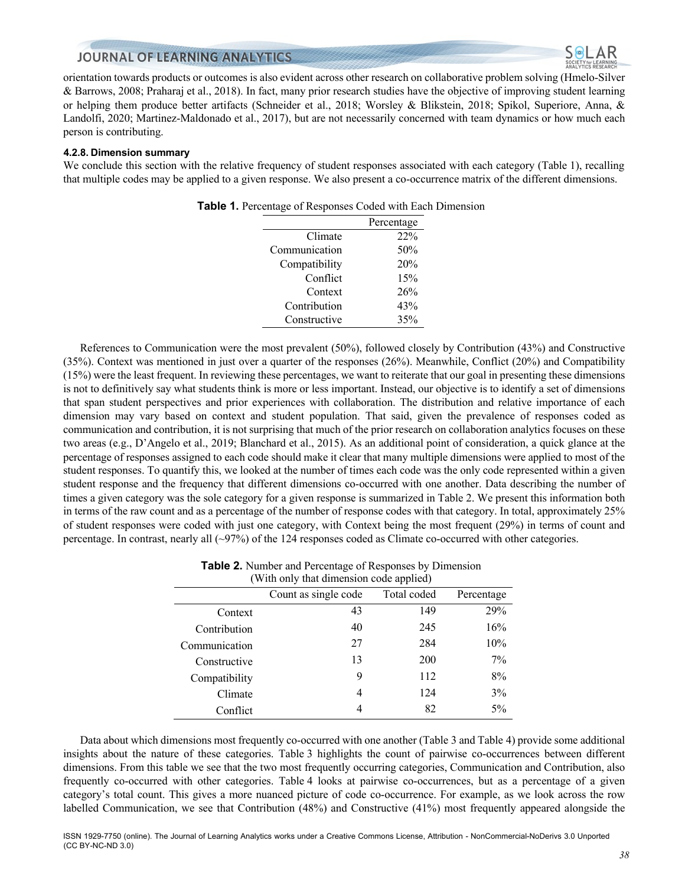

orientation towards products or outcomes is also evident across other research on collaborative problem solving (Hmelo-Silver & Barrows, 2008; Praharaj et al., 2018). In fact, many prior research studies have the objective of improving student learning or helping them produce better artifacts (Schneider et al., 2018; Worsley & Blikstein, 2018; Spikol, Superiore, Anna, & Landolfi, 2020; Martinez-Maldonado et al., 2017), but are not necessarily concerned with team dynamics or how much each person is contributing.

#### **4.2.8. Dimension summary**

We conclude this section with the relative frequency of student responses associated with each category (Table 1), recalling that multiple codes may be applied to a given response. We also present a co-occurrence matrix of the different dimensions.

|               | Percentage |
|---------------|------------|
| Climate       | 22%        |
| Communication | 50%        |
| Compatibility | 20%        |
| Conflict      | 15%        |
| Context       | 26%        |
| Contribution  | 43%        |
| Constructive  | 35%        |
|               |            |

|  | <b>Table 1.</b> Percentage of Responses Coded with Each Dimension |
|--|-------------------------------------------------------------------|
|--|-------------------------------------------------------------------|

References to Communication were the most prevalent (50%), followed closely by Contribution (43%) and Constructive (35%). Context was mentioned in just over a quarter of the responses (26%). Meanwhile, Conflict (20%) and Compatibility (15%) were the least frequent. In reviewing these percentages, we want to reiterate that our goal in presenting these dimensions is not to definitively say what students think is more or less important. Instead, our objective is to identify a set of dimensions that span student perspectives and prior experiences with collaboration. The distribution and relative importance of each dimension may vary based on context and student population. That said, given the prevalence of responses coded as communication and contribution, it is not surprising that much of the prior research on collaboration analytics focuses on these two areas (e.g., D'Angelo et al., 2019; Blanchard et al., 2015). As an additional point of consideration, a quick glance at the percentage of responses assigned to each code should make it clear that many multiple dimensions were applied to most of the student responses. To quantify this, we looked at the number of times each code was the only code represented within a given student response and the frequency that different dimensions co-occurred with one another. Data describing the number of times a given category was the sole category for a given response is summarized in Table 2. We present this information both in terms of the raw count and as a percentage of the number of response codes with that category. In total, approximately 25% of student responses were coded with just one category, with Context being the most frequent (29%) in terms of count and percentage. In contrast, nearly all (~97%) of the 124 responses coded as Climate co-occurred with other categories.

| <b>Table 2.</b> Number and Percentage of Responses by Dimension |
|-----------------------------------------------------------------|
| (With only that dimension code applied)                         |

| $\alpha$ is the only that unnension code applied $\beta$ |                      |             |            |  |  |
|----------------------------------------------------------|----------------------|-------------|------------|--|--|
|                                                          | Count as single code | Total coded | Percentage |  |  |
| Context                                                  | 43                   | 149         | 29%        |  |  |
| Contribution                                             | 40                   | 245         | 16%        |  |  |
| Communication                                            | 27                   | 284         | 10%        |  |  |
| Constructive                                             | 13                   | <b>200</b>  | 7%         |  |  |
| Compatibility                                            | 9                    | 112         | 8%         |  |  |
| Climate                                                  | 4                    | 124         | 3%         |  |  |
| Conflict                                                 |                      | 82          | $5\%$      |  |  |

Data about which dimensions most frequently co-occurred with one another (Table 3 and Table 4) provide some additional insights about the nature of these categories. Table 3 highlights the count of pairwise co-occurrences between different dimensions. From this table we see that the two most frequently occurring categories, Communication and Contribution, also frequently co-occurred with other categories. Table 4 looks at pairwise co-occurrences, but as a percentage of a given category's total count. This gives a more nuanced picture of code co-occurrence. For example, as we look across the row labelled Communication, we see that Contribution (48%) and Constructive (41%) most frequently appeared alongside the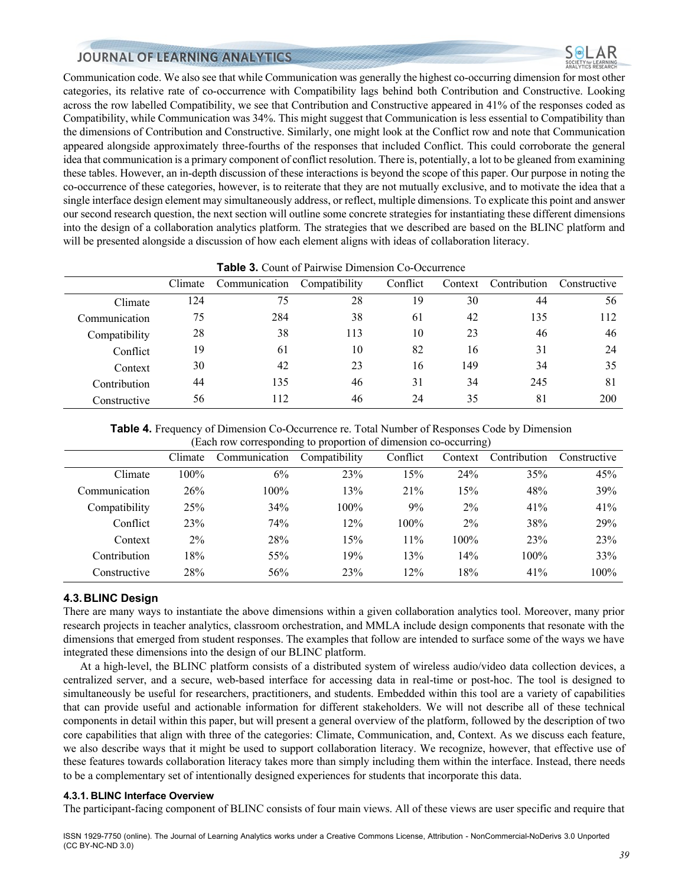

Communication code. We also see that while Communication was generally the highest co-occurring dimension for most other categories, its relative rate of co-occurrence with Compatibility lags behind both Contribution and Constructive. Looking across the row labelled Compatibility, we see that Contribution and Constructive appeared in 41% of the responses coded as Compatibility, while Communication was 34%. This might suggest that Communication is less essential to Compatibility than the dimensions of Contribution and Constructive. Similarly, one might look at the Conflict row and note that Communication appeared alongside approximately three-fourths of the responses that included Conflict. This could corroborate the general idea that communication is a primary component of conflict resolution. There is, potentially, a lot to be gleaned from examining these tables. However, an in-depth discussion of these interactions is beyond the scope of this paper. Our purpose in noting the co-occurrence of these categories, however, is to reiterate that they are not mutually exclusive, and to motivate the idea that a single interface design element may simultaneously address, or reflect, multiple dimensions. To explicate this point and answer our second research question, the next section will outline some concrete strategies for instantiating these different dimensions into the design of a collaboration analytics platform. The strategies that we described are based on the BLINC platform and will be presented alongside a discussion of how each element aligns with ideas of collaboration literacy.

| <b>Table 3.</b> Count of Pairwise Dimension Co-Occurrence |         |               |               |          |         |              |              |
|-----------------------------------------------------------|---------|---------------|---------------|----------|---------|--------------|--------------|
|                                                           | Climate | Communication | Compatibility | Conflict | Context | Contribution | Constructive |
| Climate                                                   | 124     | 75            | 28            | 19       | 30      | 44           | 56           |
| Communication                                             | 75      | 284           | 38            | 61       | 42      | 135          | 112          |
| Compatibility                                             | 28      | 38            | 113           | 10       | 23      | 46           | 46           |
| Conflict                                                  | 19      | 61            | 10            | 82       | 16      | 31           | 24           |
| Context                                                   | 30      | 42            | 23            | 16       | 149     | 34           | 35           |
| Contribution                                              | 44      | 135           | 46            | 31       | 34      | 245          | 81           |
| Constructive                                              | 56      | 112           | 46            | 24       | 35      | 81           | 200          |

#### **Table 3.** Count of Pairwise Dimension Co-Occurrence

**Table 4.** Frequency of Dimension Co-Occurrence re. Total Number of Responses Code by Dimension (Each row corresponding to proportion of dimension co-occurring)

|               |         |               | $\circ$       |          |         | $\mathcal{Q}$ |              |
|---------------|---------|---------------|---------------|----------|---------|---------------|--------------|
|               | Climate | Communication | Compatibility | Conflict | Context | Contribution  | Constructive |
| Climate       | 100%    | 6%            | 23%           | 15%      | 24%     | 35%           | 45%          |
| Communication | 26%     | $100\%$       | 13%           | 21%      | 15%     | 48%           | 39%          |
| Compatibility | 25%     | 34%           | 100%          | 9%       | $2\%$   | 41%           | 41%          |
| Conflict      | 23%     | 74%           | 12%           | $100\%$  | $2\%$   | 38%           | 29%          |
| Context       | $2\%$   | 28%           | 15%           | 11%      | 100%    | 23%           | 23%          |
| Contribution  | 18%     | 55%           | 19%           | 13%      | 14%     | 100%          | 33%          |
| Constructive  | 28%     | 56%           | 23%           | 12%      | 18%     | 41%           | 100%         |

#### **4.3.BLINC Design**

There are many ways to instantiate the above dimensions within a given collaboration analytics tool. Moreover, many prior research projects in teacher analytics, classroom orchestration, and MMLA include design components that resonate with the dimensions that emerged from student responses. The examples that follow are intended to surface some of the ways we have integrated these dimensions into the design of our BLINC platform.

At a high-level, the BLINC platform consists of a distributed system of wireless audio/video data collection devices, a centralized server, and a secure, web-based interface for accessing data in real-time or post-hoc. The tool is designed to simultaneously be useful for researchers, practitioners, and students. Embedded within this tool are a variety of capabilities that can provide useful and actionable information for different stakeholders. We will not describe all of these technical components in detail within this paper, but will present a general overview of the platform, followed by the description of two core capabilities that align with three of the categories: Climate, Communication, and, Context. As we discuss each feature, we also describe ways that it might be used to support collaboration literacy. We recognize, however, that effective use of these features towards collaboration literacy takes more than simply including them within the interface. Instead, there needs to be a complementary set of intentionally designed experiences for students that incorporate this data.

#### **4.3.1. BLINC Interface Overview**

The participant-facing component of BLINC consists of four main views. All of these views are user specific and require that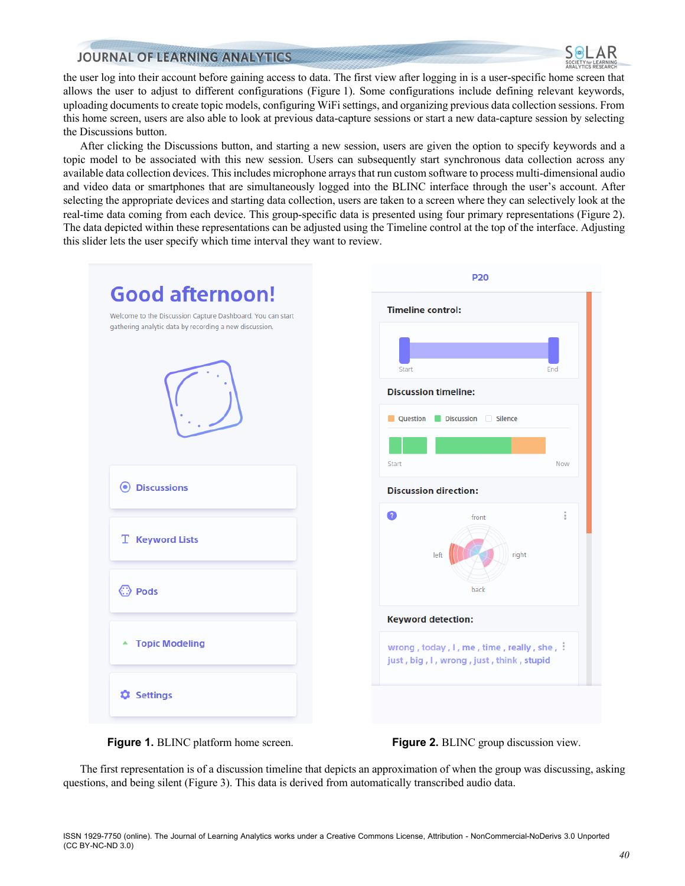

the user log into their account before gaining access to data. The first view after logging in is a user-specific home screen that allows the user to adjust to different configurations (Figure 1). Some configurations include defining relevant keywords, uploading documents to create topic models, configuring WiFi settings, and organizing previous data collection sessions. From this home screen, users are also able to look at previous data-capture sessions or start a new data-capture session by selecting the Discussions button.

After clicking the Discussions button, and starting a new session, users are given the option to specify keywords and a topic model to be associated with this new session. Users can subsequently start synchronous data collection across any available data collection devices. This includes microphone arrays that run custom software to process multi-dimensional audio and video data or smartphones that are simultaneously logged into the BLINC interface through the user's account. After selecting the appropriate devices and starting data collection, users are taken to a screen where they can selectively look at the real-time data coming from each device. This group-specific data is presented using four primary representations (Figure 2). The data depicted within these representations can be adjusted using the Timeline control at the top of the interface. Adjusting this slider lets the user specify which time interval they want to review.



**Figure 1.** BLINC platform home screen. **Figure 2.** BLINC group discussion view.

The first representation is of a discussion timeline that depicts an approximation of when the group was discussing, asking questions, and being silent (Figure 3). This data is derived from automatically transcribed audio data.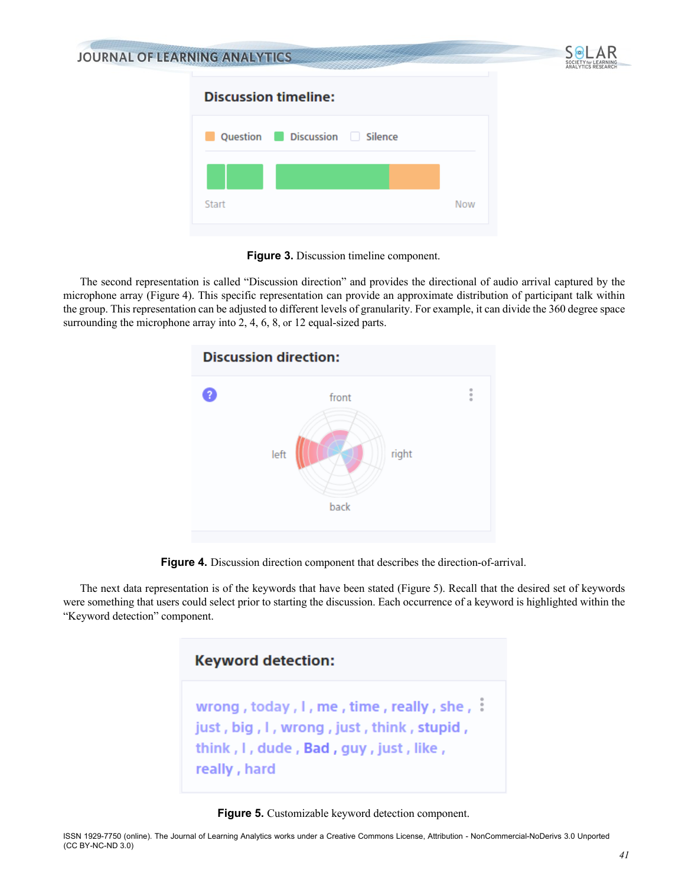| <b>JOURNAL OF LEARNING ANALYTICS</b> |            | SOCIETY for LEARNING<br>ANALYTICS RESEARCH |
|--------------------------------------|------------|--------------------------------------------|
| <b>Discussion timeline:</b>          |            |                                            |
| Question Discussion Silence          |            |                                            |
|                                      |            |                                            |
| Start                                | <b>Now</b> |                                            |
|                                      |            |                                            |

**Figure 3.** Discussion timeline component.

The second representation is called "Discussion direction" and provides the directional of audio arrival captured by the microphone array (Figure 4). This specific representation can provide an approximate distribution of participant talk within the group. This representation can be adjusted to different levels of granularity. For example, it can divide the 360 degree space surrounding the microphone array into 2, 4, 6, 8, or 12 equal-sized parts.



**Figure 4.** Discussion direction component that describes the direction-of-arrival.

The next data representation is of the keywords that have been stated (Figure 5). Recall that the desired set of keywords were something that users could select prior to starting the discussion. Each occurrence of a keyword is highlighted within the "Keyword detection" component.



**Figure 5.** Customizable keyword detection component.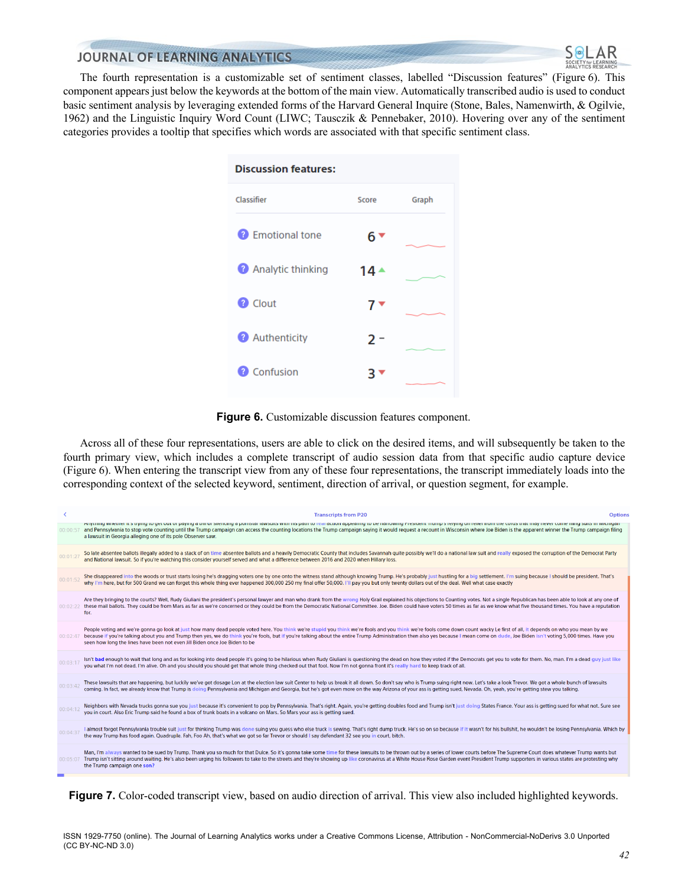

The fourth representation is a customizable set of sentiment classes, labelled "Discussion features" (Figure 6). This component appears just below the keywords at the bottom of the main view. Automatically transcribed audio is used to conduct basic sentiment analysis by leveraging extended forms of the Harvard General Inquire (Stone, Bales, Namenwirth, & Ogilvie, 1962) and the Linguistic Inquiry Word Count (LIWC; Tausczik & Pennebaker, 2010). Hovering over any of the sentiment categories provides a tooltip that specifies which words are associated with that specific sentiment class.

| <b>Discussion features:</b> |       |       |
|-----------------------------|-------|-------|
| Classifier                  | Score | Graph |
| <b>2</b> Emotional tone     | 6 T   |       |
| <b>2</b> Analytic thinking  | 14 ▲  |       |
| <sup>2</sup> Clout          | 7 ▼   |       |
| <b>Authenticity</b>         | 2 -   |       |
| Confusion<br>-21            | ₹.    |       |
|                             |       |       |

**Figure 6.** Customizable discussion features component.

Across all of these four representations, users are able to click on the desired items, and will subsequently be taken to the fourth primary view, which includes a complete transcript of audio session data from that specific audio capture device (Figure 6). When entering the transcript view from any of these four representations, the transcript immediately loads into the corresponding context of the selected keyword, sentiment, direction of arrival, or question segment, for example.

|          | <b>Transcripts from P20</b><br><b>Options</b>                                                                                                                                                                                                                                                                                                                                                                                                                                                                                                 |  |
|----------|-----------------------------------------------------------------------------------------------------------------------------------------------------------------------------------------------------------------------------------------------------------------------------------------------------------------------------------------------------------------------------------------------------------------------------------------------------------------------------------------------------------------------------------------------|--|
| 00:00:57 | Anyumiy whener it suying to get out or paying a bill or shenting a pomstar lawsuits with mis path to real action appearing to be narrowing rresident. Hump's relying on releft nomit the colus that may never come ming suits<br>and Pennsylvania to stop vote counting until the Trump campaign can access the counting locations the Trump campaign saying it would request a recount in Wisconsin where Joe Biden is the apparent winner the Trump campaign<br>a lawsuit in Georgia alleging one of its pole Observer saw.                 |  |
| 00:01:27 | So late absentee ballots illegally added to a stack of on time absentee ballots and a heavily Democratic County that includes Savannah quite possibly we'll do a national law suit and really exposed the corruption of the De<br>and National lawsuit. So if you're watching this consider yourself served and what a difference between 2016 and 2020 when Hillary loss.                                                                                                                                                                    |  |
| 00:01:52 | She disappeared into the woods or trust starts losing he's dragging voters one by one onto the witness stand although knowing Trump. He's probably just hustling for a big settlement. I'm suing because I should be president<br>why I'm here, but for 500 Grand we can forget this whole thing ever happened 300,000 250 my final offer 50,000. I'll pay you but only twenty dollars out of the deal. Well what case exactly                                                                                                                |  |
| 00:02:22 | Are they bringing to the courts? Well, Rudy Giuliani the president's personal lawyer and man who drank from the wrong Holy Grail explained his objections to Counting votes. Not a single Republican has been able to look at<br>these mail ballots. They could be from Mars as far as we're concerned or they could be from the Democratic National Committee. Joe. Biden could have voters 50 times as far as we know what five thousand times. You have a re<br>for.                                                                       |  |
| 00:02:47 | People voting and we're gonna go look at just how many dead people voted here. You think we're stupid you think we're fools and you think we're fools come down count wacky Le first of all, it depends on who you mean by we<br>because if you're talking about you and Trump then yes, we do think you're fools, but if you're talking about the entire Trump Administration then also yes because I mean come on dude, Joe Biden isn't voting 5,000 times. H<br>seen how long the lines have been not even Jill Biden once Joe Biden to be |  |
| 00:03:1  | Isn't bad enough to wait that long and as for looking into dead people it's going to be hilarious when Rudy Giuliani is questioning the dead on how they voted if the Democrats get you to vote for them. No, man. I'm a dead<br>you what I'm not dead. I'm alive. Oh and you should you should get that whole thing checked out that fool. Now I'm not gonna front it's really hard to keep track of all.                                                                                                                                    |  |
| 00:03:42 | These lawsuits that are happening, but luckily we've got dosage Lon at the election law suit Center to help us break it all down. So don't say who is Trump suing right now. Let's take a look Trevor. We got a whole bunch of<br>coming. In fact, we already know that Trump is doing Pennsylvania and Michigan and Georgia, but he's got even more on the way Arizona of your ass is getting sued, Nevada. Oh, yeah, you're getting stew you talking.                                                                                       |  |
| 00:04:12 | Neighbors with Nevada trucks gonna sue you just because it's convenient to pop by Pennsylvania. That's right. Again, you're getting doubles food and Trump isn't just doing States France. Your ass is getting sued for what n<br>you in court. Also Eric Trump said he found a box of trunk boats in a volcano on Mars. So Mars your ass is getting sued.                                                                                                                                                                                    |  |
| 00:04:37 | I almost forgot Pennsylvania trouble suit just for thinking Trump was done suing you quess who else truck is sewing. That's right dump truck. He's so on so because if it wasn't for his bullshit, he wouldn't be losing Penns<br>the way Trump has food again. Quadruple. Fah, Foo Ah, that's what we got so far Trevor or should I say defendant 32 see you in court, bitch.                                                                                                                                                                |  |
|          | Man, I'm always wanted to be sued by Trump. Thank you so much for that Dulce. So it's gonna take some time for these lawsuits to be thrown out by a series of lower courts before The Supreme Court does whatever Trump wants<br>00:05:07 Trump isn't sitting around waiting. He's also been urging his followers to take to the streets and they're showing up like coronavirus at a White House Rose Garden event President Trump supporters in various state<br>the Trump campaign one son?                                                |  |
|          |                                                                                                                                                                                                                                                                                                                                                                                                                                                                                                                                               |  |

**Figure 7.** Color-coded transcript view, based on audio direction of arrival. This view also included highlighted keywords.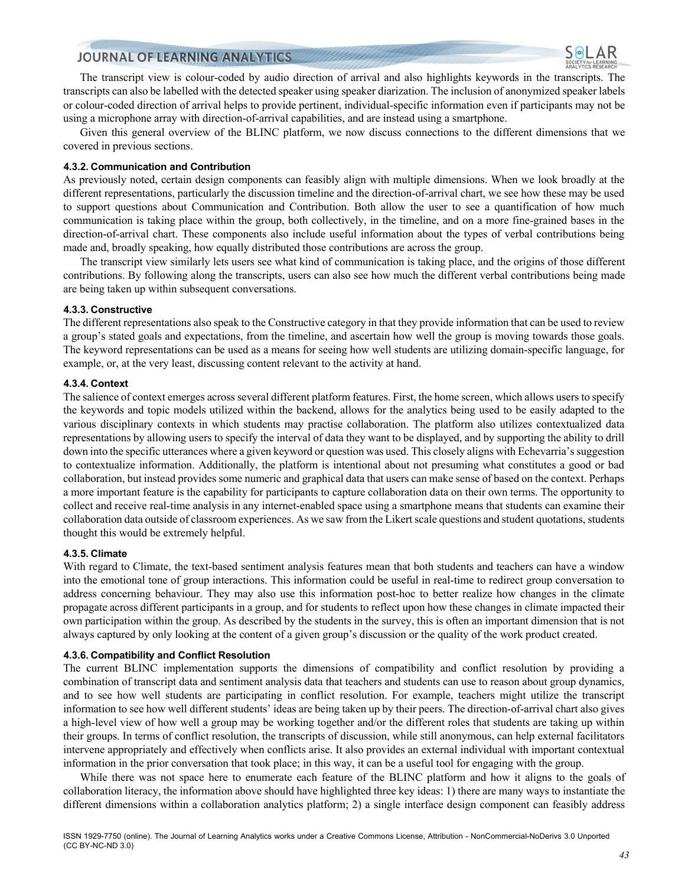The transcript view is colour-coded by audio direction of arrival and also highlights keywords in the transcripts. The transcripts can also be labelled with the detected speaker using speaker diarization. The inclusion of anonymized speaker labels or colour-coded direction of arrival helps to provide pertinent, individual-specific information even if participants may not be using a microphone array with direction-of-arrival capabilities, and are instead using a smartphone.

Given this general overview of the BLINC platform, we now discuss connections to the different dimensions that we covered in previous sections.

#### **4.3.2. Communication and Contribution**

As previously noted, certain design components can feasibly align with multiple dimensions. When we look broadly at the different representations, particularly the discussion timeline and the direction-of-arrival chart, we see how these may be used to support questions about Communication and Contribution. Both allow the user to see a quantification of how much communication is taking place within the group, both collectively, in the timeline, and on a more fine-grained bases in the direction-of-arrival chart. These components also include useful information about the types of verbal contributions being made and, broadly speaking, how equally distributed those contributions are across the group.

The transcript view similarly lets users see what kind of communication is taking place, and the origins of those different contributions. By following along the transcripts, users can also see how much the different verbal contributions being made are being taken up within subsequent conversations.

#### **4.3.3. Constructive**

The different representations also speak to the Constructive category in that they provide information that can be used to review a group's stated goals and expectations, from the timeline, and ascertain how well the group is moving towards those goals. The keyword representations can be used as a means for seeing how well students are utilizing domain-specific language, for example, or, at the very least, discussing content relevant to the activity at hand.

#### **4.3.4. Context**

The salience of context emerges across several different platform features. First, the home screen, which allows users to specify the keywords and topic models utilized within the backend, allows for the analytics being used to be easily adapted to the various disciplinary contexts in which students may practise collaboration. The platform also utilizes contextualized data representations by allowing users to specify the interval of data they want to be displayed, and by supporting the ability to drill down into the specific utterances where a given keyword or question was used. This closely aligns with Echevarria's suggestion to contextualize information. Additionally, the platform is intentional about not presuming what constitutes a good or bad collaboration, but instead provides some numeric and graphical data that users can make sense of based on the context. Perhaps a more important feature is the capability for participants to capture collaboration data on their own terms. The opportunity to collect and receive real-time analysis in any internet-enabled space using a smartphone means that students can examine their collaboration data outside of classroom experiences. As we saw from the Likert scale questions and student quotations, students thought this would be extremely helpful.

#### **4.3.5. Climate**

With regard to Climate, the text-based sentiment analysis features mean that both students and teachers can have a window into the emotional tone of group interactions. This information could be useful in real-time to redirect group conversation to address concerning behaviour. They may also use this information post-hoc to better realize how changes in the climate propagate across different participants in a group, and for students to reflect upon how these changes in climate impacted their own participation within the group. As described by the students in the survey, this is often an important dimension that is not always captured by only looking at the content of a given group's discussion or the quality of the work product created.

#### **4.3.6. Compatibility and Conflict Resolution**

The current BLINC implementation supports the dimensions of compatibility and conflict resolution by providing a combination of transcript data and sentiment analysis data that teachers and students can use to reason about group dynamics, and to see how well students are participating in conflict resolution. For example, teachers might utilize the transcript information to see how well different students' ideas are being taken up by their peers. The direction-of-arrival chart also gives a high-level view of how well a group may be working together and/or the different roles that students are taking up within their groups. In terms of conflict resolution, the transcripts of discussion, while still anonymous, can help external facilitators intervene appropriately and effectively when conflicts arise. It also provides an external individual with important contextual information in the prior conversation that took place; in this way, it can be a useful tool for engaging with the group.

While there was not space here to enumerate each feature of the BLINC platform and how it aligns to the goals of collaboration literacy, the information above should have highlighted three key ideas: 1) there are many ways to instantiate the different dimensions within a collaboration analytics platform; 2) a single interface design component can feasibly address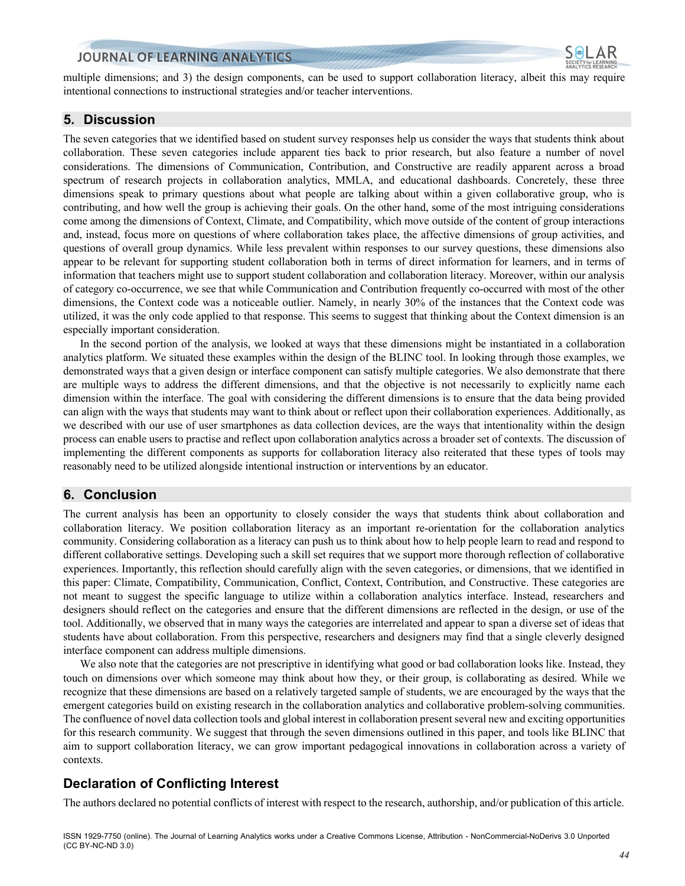

multiple dimensions; and 3) the design components, can be used to support collaboration literacy, albeit this may require intentional connections to instructional strategies and/or teacher interventions.

#### **5. Discussion**

The seven categories that we identified based on student survey responses help us consider the ways that students think about collaboration. These seven categories include apparent ties back to prior research, but also feature a number of novel considerations. The dimensions of Communication, Contribution, and Constructive are readily apparent across a broad spectrum of research projects in collaboration analytics, MMLA, and educational dashboards. Concretely, these three dimensions speak to primary questions about what people are talking about within a given collaborative group, who is contributing, and how well the group is achieving their goals. On the other hand, some of the most intriguing considerations come among the dimensions of Context, Climate, and Compatibility, which move outside of the content of group interactions and, instead, focus more on questions of where collaboration takes place, the affective dimensions of group activities, and questions of overall group dynamics. While less prevalent within responses to our survey questions, these dimensions also appear to be relevant for supporting student collaboration both in terms of direct information for learners, and in terms of information that teachers might use to support student collaboration and collaboration literacy. Moreover, within our analysis of category co-occurrence, we see that while Communication and Contribution frequently co-occurred with most of the other dimensions, the Context code was a noticeable outlier. Namely, in nearly 30% of the instances that the Context code was utilized, it was the only code applied to that response. This seems to suggest that thinking about the Context dimension is an especially important consideration.

In the second portion of the analysis, we looked at ways that these dimensions might be instantiated in a collaboration analytics platform. We situated these examples within the design of the BLINC tool. In looking through those examples, we demonstrated ways that a given design or interface component can satisfy multiple categories. We also demonstrate that there are multiple ways to address the different dimensions, and that the objective is not necessarily to explicitly name each dimension within the interface. The goal with considering the different dimensions is to ensure that the data being provided can align with the ways that students may want to think about or reflect upon their collaboration experiences. Additionally, as we described with our use of user smartphones as data collection devices, are the ways that intentionality within the design process can enable users to practise and reflect upon collaboration analytics across a broader set of contexts. The discussion of implementing the different components as supports for collaboration literacy also reiterated that these types of tools may reasonably need to be utilized alongside intentional instruction or interventions by an educator.

#### **6. Conclusion**

The current analysis has been an opportunity to closely consider the ways that students think about collaboration and collaboration literacy. We position collaboration literacy as an important re-orientation for the collaboration analytics community. Considering collaboration as a literacy can push us to think about how to help people learn to read and respond to different collaborative settings. Developing such a skill set requires that we support more thorough reflection of collaborative experiences. Importantly, this reflection should carefully align with the seven categories, or dimensions, that we identified in this paper: Climate, Compatibility, Communication, Conflict, Context, Contribution, and Constructive. These categories are not meant to suggest the specific language to utilize within a collaboration analytics interface. Instead, researchers and designers should reflect on the categories and ensure that the different dimensions are reflected in the design, or use of the tool. Additionally, we observed that in many ways the categories are interrelated and appear to span a diverse set of ideas that students have about collaboration. From this perspective, researchers and designers may find that a single cleverly designed interface component can address multiple dimensions.

We also note that the categories are not prescriptive in identifying what good or bad collaboration looks like. Instead, they touch on dimensions over which someone may think about how they, or their group, is collaborating as desired. While we recognize that these dimensions are based on a relatively targeted sample of students, we are encouraged by the ways that the emergent categories build on existing research in the collaboration analytics and collaborative problem-solving communities. The confluence of novel data collection tools and global interest in collaboration present several new and exciting opportunities for this research community. We suggest that through the seven dimensions outlined in this paper, and tools like BLINC that aim to support collaboration literacy, we can grow important pedagogical innovations in collaboration across a variety of contexts.

# **Declaration of Conflicting Interest**

The authors declared no potential conflicts of interest with respect to the research, authorship, and/or publication of this article.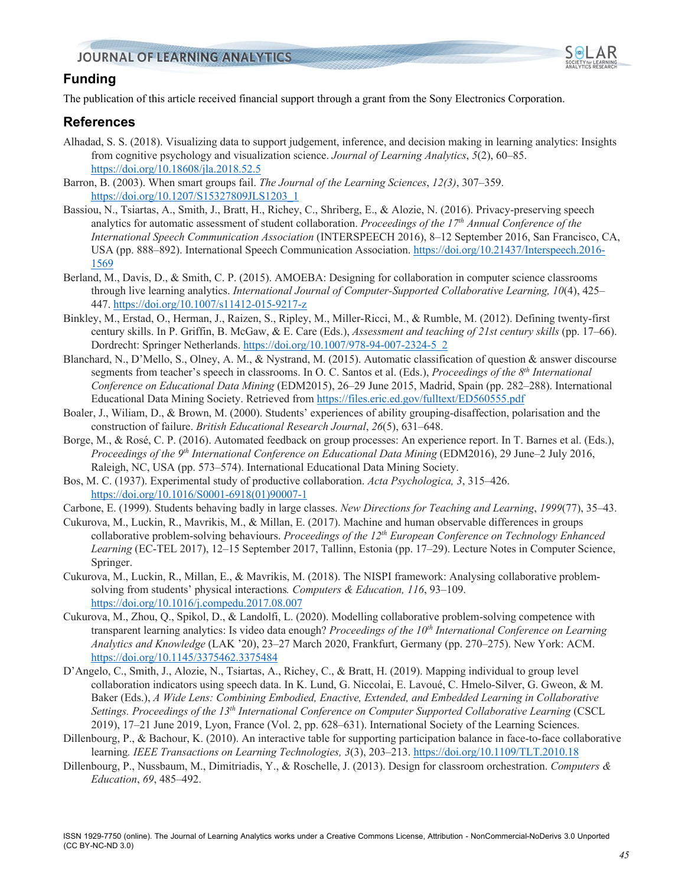

# **Funding**

The publication of this article received financial support through a grant from the Sony Electronics Corporation.

## **References**

- Alhadad, S. S. (2018). Visualizing data to support judgement, inference, and decision making in learning analytics: Insights from cognitive psychology and visualization science. *Journal of Learning Analytics*, *5*(2), 60–85. https://doi.org/10.18608/jla.2018.52.5
- Barron, B. (2003). When smart groups fail. *The Journal of the Learning Sciences*, *12(3)*, 307–359. https://doi.org/10.1207/S15327809JLS1203\_1
- Bassiou, N., Tsiartas, A., Smith, J., Bratt, H., Richey, C., Shriberg, E., & Alozie, N. (2016). Privacy-preserving speech analytics for automatic assessment of student collaboration. *Proceedings of the 17th Annual Conference of the International Speech Communication Association* (INTERSPEECH 2016), 8–12 September 2016, San Francisco, CA, USA (pp. 888–892). International Speech Communication Association. https://doi.org/10.21437/Interspeech.2016- 1569
- Berland, M., Davis, D., & Smith, C. P. (2015). AMOEBA: Designing for collaboration in computer science classrooms through live learning analytics. *International Journal of Computer-Supported Collaborative Learning, 10*(4), 425– 447. https://doi.org/10.1007/s11412-015-9217-z
- Binkley, M., Erstad, O., Herman, J., Raizen, S., Ripley, M., Miller-Ricci, M., & Rumble, M. (2012). Defining twenty-first century skills. In P. Griffin, B. McGaw, & E. Care (Eds.), *Assessment and teaching of 21st century skills* (pp. 17–66). Dordrecht: Springer Netherlands. https://doi.org/10.1007/978-94-007-2324-5\_2
- Blanchard, N., D'Mello, S., Olney, A. M., & Nystrand, M. (2015). Automatic classification of question & answer discourse segments from teacher's speech in classrooms. In O. C. Santos et al. (Eds.), *Proceedings of the 8th International Conference on Educational Data Mining* (EDM2015), 26–29 June 2015, Madrid, Spain (pp. 282–288). International Educational Data Mining Society. Retrieved from https://files.eric.ed.gov/fulltext/ED560555.pdf
- Boaler, J., Wiliam, D., & Brown, M. (2000). Students' experiences of ability grouping-disaffection, polarisation and the construction of failure. *British Educational Research Journal*, *26*(5), 631–648.
- Borge, M., & Rosé, C. P. (2016). Automated feedback on group processes: An experience report. In T. Barnes et al. (Eds.), *Proceedings of the 9th International Conference on Educational Data Mining* (EDM2016), 29 June–2 July 2016, Raleigh, NC, USA (pp. 573–574). International Educational Data Mining Society.
- Bos, M. C. (1937). Experimental study of productive collaboration. *Acta Psychologica, 3*, 315–426. https://doi.org/10.1016/S0001-6918(01)90007-1
- Carbone, E. (1999). Students behaving badly in large classes. *New Directions for Teaching and Learning*, *1999*(77), 35–43.
- Cukurova, M., Luckin, R., Mavrikis, M., & Millan, E. (2017). Machine and human observable differences in groups collaborative problem-solving behaviours. *Proceedings of the 12th European Conference on Technology Enhanced Learning* (EC-TEL 2017), 12–15 September 2017, Tallinn, Estonia (pp. 17–29). Lecture Notes in Computer Science, Springer.
- Cukurova, M., Luckin, R., Millan, E., & Mavrikis, M. (2018). The NISPI framework: Analysing collaborative problemsolving from students' physical interactions*. Computers & Education, 116*, 93–109. https://doi.org/10.1016/j.compedu.2017.08.007
- Cukurova, M., Zhou, Q., Spikol, D., & Landolfi, L. (2020). Modelling collaborative problem-solving competence with transparent learning analytics: Is video data enough? *Proceedings of the 10th International Conference on Learning Analytics and Knowledge* (LAK '20), 23–27 March 2020, Frankfurt, Germany (pp. 270–275). New York: ACM. https://doi.org/10.1145/3375462.3375484
- D'Angelo, C., Smith, J., Alozie, N., Tsiartas, A., Richey, C., & Bratt, H. (2019). Mapping individual to group level collaboration indicators using speech data. In K. Lund, G. Niccolai, E. Lavoué, C. Hmelo-Silver, G. Gweon, & M. Baker (Eds.), *A Wide Lens: Combining Embodied, Enactive, Extended, and Embedded Learning in Collaborative Settings. Proceedings of the 13th International Conference on Computer Supported Collaborative Learning* (CSCL 2019), 17–21 June 2019, Lyon, France (Vol. 2, pp. 628–631). International Society of the Learning Sciences.
- Dillenbourg, P., & Bachour, K. (2010). An interactive table for supporting participation balance in face-to-face collaborative learning*. IEEE Transactions on Learning Technologies, 3*(3), 203–213. https://doi.org/10.1109/TLT.2010.18
- Dillenbourg, P., Nussbaum, M., Dimitriadis, Y., & Roschelle, J. (2013). Design for classroom orchestration. *Computers & Education*, *69*, 485–492.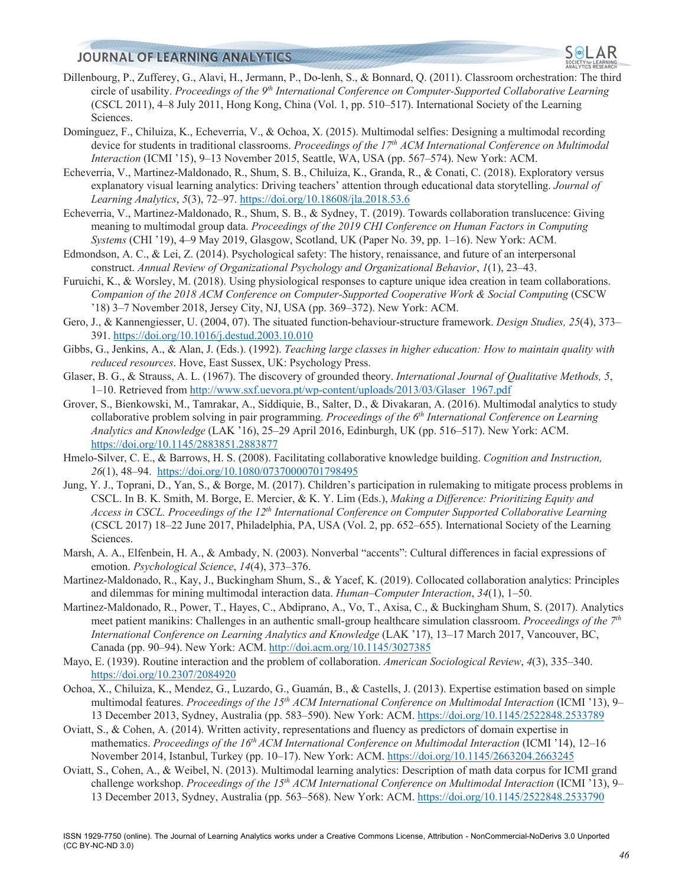- Dillenbourg, P., Zufferey, G., Alavi, H., Jermann, P., Do-lenh, S., & Bonnard, Q. (2011). Classroom orchestration: The third circle of usability. *Proceedings of the 9th International Conference on Computer-Supported Collaborative Learning*  (CSCL 2011), 4–8 July 2011, Hong Kong, China (Vol. 1, pp. 510–517). International Society of the Learning Sciences.
- Domínguez, F., Chiluiza, K., Echeverria, V., & Ochoa, X. (2015). Multimodal selfies: Designing a multimodal recording device for students in traditional classrooms. *Proceedings of the 17th ACM International Conference on Multimodal Interaction* (ICMI '15), 9–13 November 2015, Seattle, WA, USA (pp. 567–574). New York: ACM.
- Echeverria, V., Martinez-Maldonado, R., Shum, S. B., Chiluiza, K., Granda, R., & Conati, C. (2018). Exploratory versus explanatory visual learning analytics: Driving teachers' attention through educational data storytelling. *Journal of Learning Analytics*, *5*(3), 72–97. https://doi.org/10.18608/jla.2018.53.6
- Echeverria, V., Martinez-Maldonado, R., Shum, S. B., & Sydney, T. (2019). Towards collaboration translucence: Giving meaning to multimodal group data. *Proceedings of the 2019 CHI Conference on Human Factors in Computing Systems* (CHI '19), 4–9 May 2019, Glasgow, Scotland, UK (Paper No. 39, pp. 1–16). New York: ACM.
- Edmondson, A. C., & Lei, Z. (2014). Psychological safety: The history, renaissance, and future of an interpersonal construct. *Annual Review of Organizational Psychology and Organizational Behavior*, *1*(1), 23–43.
- Furuichi, K., & Worsley, M. (2018). Using physiological responses to capture unique idea creation in team collaborations. *Companion of the 2018 ACM Conference on Computer-Supported Cooperative Work & Social Computing* (CSCW '18) 3–7 November 2018, Jersey City, NJ, USA (pp. 369–372). New York: ACM.
- Gero, J., & Kannengiesser, U. (2004, 07). The situated function-behaviour-structure framework. *Design Studies, 25*(4), 373– 391. https://doi.org/10.1016/j.destud.2003.10.010
- Gibbs, G., Jenkins, A., & Alan, J. (Eds.). (1992). *Teaching large classes in higher education: How to maintain quality with reduced resources*. Hove, East Sussex, UK: Psychology Press.
- Glaser, B. G., & Strauss, A. L. (1967). The discovery of grounded theory. *International Journal of Qualitative Methods, 5*, 1–10. Retrieved from http://www.sxf.uevora.pt/wp-content/uploads/2013/03/Glaser\_1967.pdf
- Grover, S., Bienkowski, M., Tamrakar, A., Siddiquie, B., Salter, D., & Divakaran, A. (2016). Multimodal analytics to study collaborative problem solving in pair programming. *Proceedings of the 6th International Conference on Learning Analytics and Knowledge* (LAK '16), 25–29 April 2016, Edinburgh, UK (pp. 516–517). New York: ACM. https://doi.org/10.1145/2883851.2883877
- Hmelo-Silver, C. E., & Barrows, H. S. (2008). Facilitating collaborative knowledge building. *Cognition and Instruction, 26*(1), 48–94. https://doi.org/10.1080/07370000701798495
- Jung, Y. J., Toprani, D., Yan, S., & Borge, M. (2017). Children's participation in rulemaking to mitigate process problems in CSCL. In B. K. Smith, M. Borge, E. Mercier, & K. Y. Lim (Eds.), *Making a Difference: Prioritizing Equity and Access in CSCL. Proceedings of the 12th International Conference on Computer Supported Collaborative Learning* (CSCL 2017) 18–22 June 2017, Philadelphia, PA, USA (Vol. 2, pp. 652–655). International Society of the Learning Sciences.
- Marsh, A. A., Elfenbein, H. A., & Ambady, N. (2003). Nonverbal "accents": Cultural differences in facial expressions of emotion. *Psychological Science*, *14*(4), 373–376.
- Martinez-Maldonado, R., Kay, J., Buckingham Shum, S., & Yacef, K. (2019). Collocated collaboration analytics: Principles and dilemmas for mining multimodal interaction data. *Human–Computer Interaction*, *34*(1), 1–50.
- Martinez-Maldonado, R., Power, T., Hayes, C., Abdiprano, A., Vo, T., Axisa, C., & Buckingham Shum, S. (2017). Analytics meet patient manikins: Challenges in an authentic small-group healthcare simulation classroom. *Proceedings of the 7th International Conference on Learning Analytics and Knowledge* (LAK '17), 13–17 March 2017, Vancouver, BC, Canada (pp. 90–94). New York: ACM. http://doi.acm.org/10.1145/3027385
- Mayo, E. (1939). Routine interaction and the problem of collaboration. *American Sociological Review*, *4*(3), 335–340. https://doi.org/10.2307/2084920
- Ochoa, X., Chiluiza, K., Mendez, G., Luzardo, G., Guamán, B., & Castells, J. (2013). Expertise estimation based on simple multimodal features. *Proceedings of the 15<sup>th</sup> ACM International Conference on Multimodal Interaction* (ICMI '13), 9– 13 December 2013, Sydney, Australia (pp. 583–590). New York: ACM. https://doi.org/10.1145/2522848.2533789
- Oviatt, S., & Cohen, A. (2014). Written activity, representations and fluency as predictors of domain expertise in mathematics. *Proceedings of the 16th ACM International Conference on Multimodal Interaction* (ICMI '14), 12–16 November 2014, Istanbul, Turkey (pp. 10–17). New York: ACM. https://doi.org/10.1145/2663204.2663245
- Oviatt, S., Cohen, A., & Weibel, N. (2013). Multimodal learning analytics: Description of math data corpus for ICMI grand challenge workshop. *Proceedings of the 15<sup>th</sup> ACM International Conference on Multimodal Interaction* (ICMI '13), 9– 13 December 2013, Sydney, Australia (pp. 563–568). New York: ACM. https://doi.org/10.1145/2522848.2533790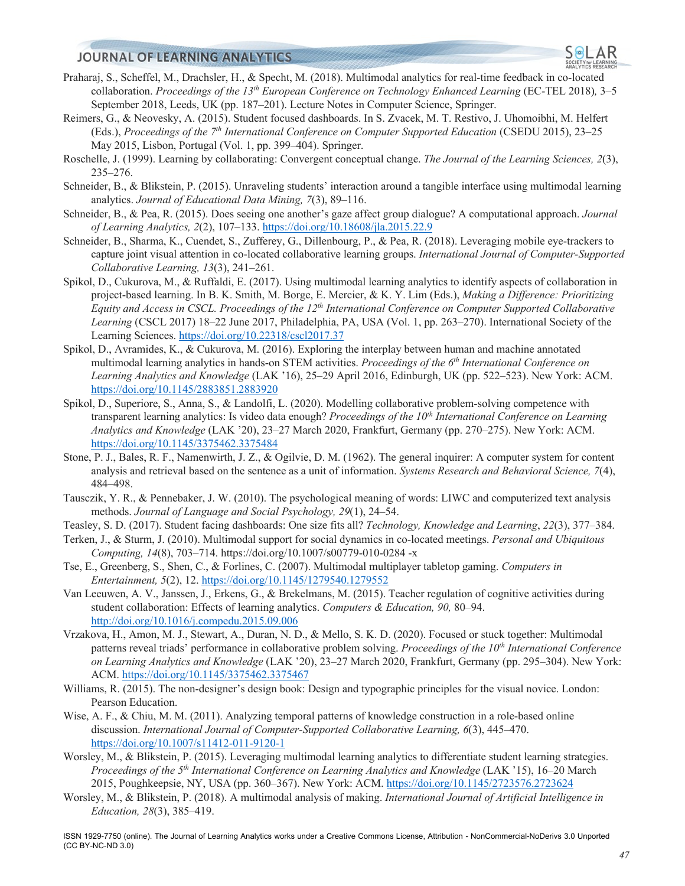- Praharaj, S., Scheffel, M., Drachsler, H., & Specht, M. (2018). Multimodal analytics for real-time feedback in co-located collaboration. *Proceedings of the 13th European Conference on Technology Enhanced Learning* (EC-TEL 2018)*,* 3–5 September 2018, Leeds, UK (pp. 187–201). Lecture Notes in Computer Science, Springer.
- Reimers, G., & Neovesky, A. (2015). Student focused dashboards. In S. Zvacek, M. T. Restivo, J. Uhomoibhi, M. Helfert (Eds.), *Proceedings of the 7th International Conference on Computer Supported Education* (CSEDU 2015), 23–25 May 2015, Lisbon, Portugal (Vol. 1, pp. 399–404). Springer.
- Roschelle, J. (1999). Learning by collaborating: Convergent conceptual change. *The Journal of the Learning Sciences, 2*(3), 235–276.
- Schneider, B., & Blikstein, P. (2015). Unraveling students' interaction around a tangible interface using multimodal learning analytics. *Journal of Educational Data Mining, 7*(3), 89–116.
- Schneider, B., & Pea, R. (2015). Does seeing one another's gaze affect group dialogue? A computational approach. *Journal of Learning Analytics, 2*(2), 107–133. https://doi.org/10.18608/jla.2015.22.9
- Schneider, B., Sharma, K., Cuendet, S., Zufferey, G., Dillenbourg, P., & Pea, R. (2018). Leveraging mobile eye-trackers to capture joint visual attention in co-located collaborative learning groups. *International Journal of Computer-Supported Collaborative Learning, 13*(3), 241–261.
- Spikol, D., Cukurova, M., & Ruffaldi, E. (2017). Using multimodal learning analytics to identify aspects of collaboration in project-based learning. In B. K. Smith, M. Borge, E. Mercier, & K. Y. Lim (Eds.), *Making a Difference: Prioritizing Equity and Access in CSCL. Proceedings of the 12th International Conference on Computer Supported Collaborative Learning* (CSCL 2017) 18–22 June 2017, Philadelphia, PA, USA (Vol. 1, pp. 263–270). International Society of the Learning Sciences. https://doi.org/10.22318/cscl2017.37
- Spikol, D., Avramides, K., & Cukurova, M. (2016). Exploring the interplay between human and machine annotated multimodal learning analytics in hands-on STEM activities. *Proceedings of the 6th International Conference on Learning Analytics and Knowledge* (LAK '16), 25–29 April 2016, Edinburgh, UK (pp. 522–523). New York: ACM. https://doi.org/10.1145/2883851.2883920
- Spikol, D., Superiore, S., Anna, S., & Landolfi, L. (2020). Modelling collaborative problem-solving competence with transparent learning analytics: Is video data enough? *Proceedings of the 10th International Conference on Learning Analytics and Knowledge* (LAK '20), 23–27 March 2020, Frankfurt, Germany (pp. 270–275). New York: ACM. https://doi.org/10.1145/3375462.3375484
- Stone, P. J., Bales, R. F., Namenwirth, J. Z., & Ogilvie, D. M. (1962). The general inquirer: A computer system for content analysis and retrieval based on the sentence as a unit of information. *Systems Research and Behavioral Science, 7*(4), 484–498.
- Tausczik, Y. R., & Pennebaker, J. W. (2010). The psychological meaning of words: LIWC and computerized text analysis methods. *Journal of Language and Social Psychology, 29*(1), 24–54.
- Teasley, S. D. (2017). Student facing dashboards: One size fits all? *Technology, Knowledge and Learning*, *22*(3), 377–384.
- Terken, J., & Sturm, J. (2010). Multimodal support for social dynamics in co-located meetings. *Personal and Ubiquitous Computing, 14*(8), 703–714. https://doi.org/10.1007/s00779-010-0284 -x
- Tse, E., Greenberg, S., Shen, C., & Forlines, C. (2007). Multimodal multiplayer tabletop gaming. *Computers in Entertainment, 5*(2), 12. https://doi.org/10.1145/1279540.1279552
- Van Leeuwen, A. V., Janssen, J., Erkens, G., & Brekelmans, M. (2015). Teacher regulation of cognitive activities during student collaboration: Effects of learning analytics. *Computers & Education, 90,* 80–94. http://doi.org/10.1016/j.compedu.2015.09.006
- Vrzakova, H., Amon, M. J., Stewart, A., Duran, N. D., & Mello, S. K. D. (2020). Focused or stuck together: Multimodal patterns reveal triads' performance in collaborative problem solving. *Proceedings of the 10th International Conference on Learning Analytics and Knowledge* (LAK '20), 23–27 March 2020, Frankfurt, Germany (pp. 295–304). New York: ACM. https://doi.org/10.1145/3375462.3375467
- Williams, R. (2015). The non-designer's design book: Design and typographic principles for the visual novice. London: Pearson Education.
- Wise, A. F., & Chiu, M. M. (2011). Analyzing temporal patterns of knowledge construction in a role-based online discussion. *International Journal of Computer-Supported Collaborative Learning, 6*(3), 445–470. https://doi.org/10.1007/s11412-011-9120-1
- Worsley, M., & Blikstein, P. (2015). Leveraging multimodal learning analytics to differentiate student learning strategies. *Proceedings of the 5th International Conference on Learning Analytics and Knowledge* (LAK '15), 16–20 March 2015, Poughkeepsie, NY, USA (pp. 360–367). New York: ACM. https://doi.org/10.1145/2723576.2723624
- Worsley, M., & Blikstein, P. (2018). A multimodal analysis of making. *International Journal of Artificial Intelligence in Education, 28*(3), 385–419.